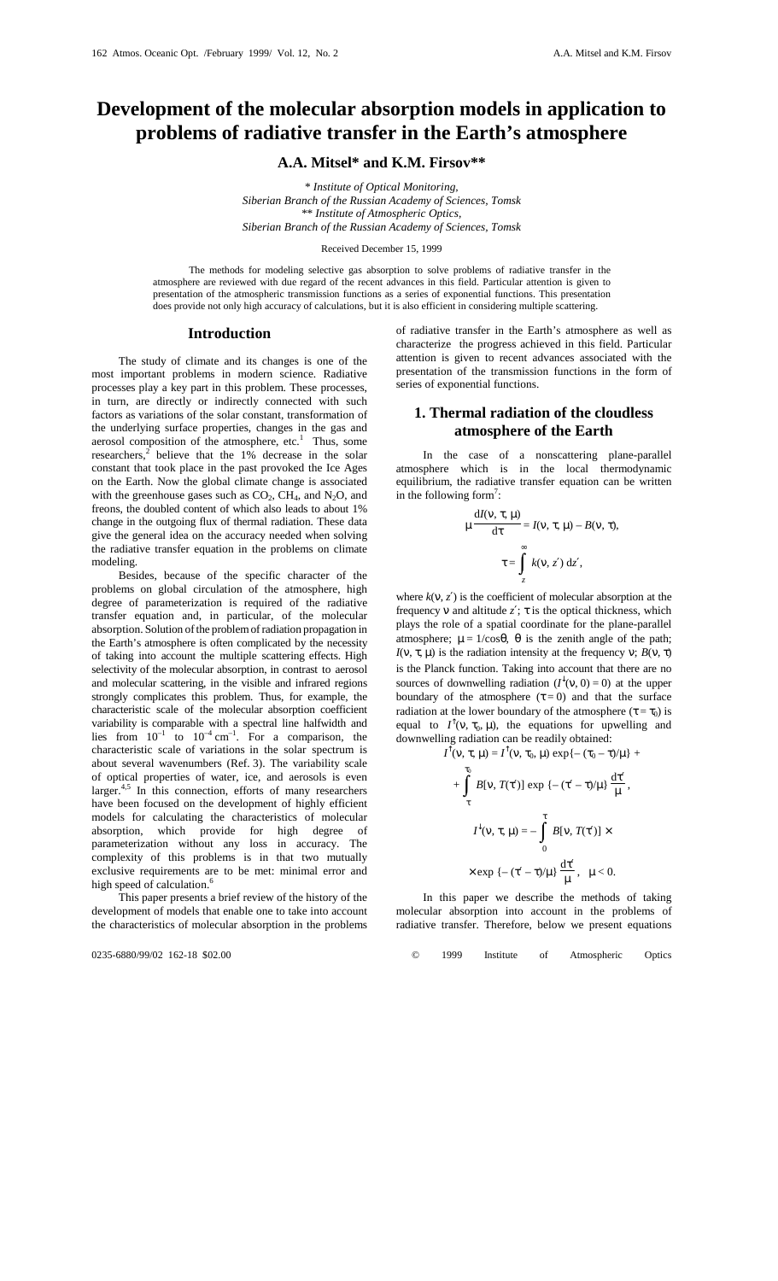# **Development of the molecular absorption models in application to problems of radiative transfer in the Earth's atmosphere**

**A.A. Mitsel\* and K.M. Firsov\*\***

\* *Institute of Optical Monitoring, Siberian Branch of the Russian Academy of Sciences, Tomsk* \*\* *Institute of Atmospheric Optics, Siberian Branch of the Russian Academy of Sciences, Tomsk*

#### Received December 15, 1999

The methods for modeling selective gas absorption to solve problems of radiative transfer in the atmosphere are reviewed with due regard of the recent advances in this field. Particular attention is given to presentation of the atmospheric transmission functions as a series of exponential functions. This presentation does provide not only high accuracy of calculations, but it is also efficient in considering multiple scattering.

## **Introduction**

The study of climate and its changes is one of the most important problems in modern science. Radiative processes play a key part in this problem. These processes, in turn, are directly or indirectly connected with such factors as variations of the solar constant, transformation of the underlying surface properties, changes in the gas and aerosol composition of the atmosphere, etc.<sup>1</sup> Thus, some researchers,<sup>2</sup> believe that the 1% decrease in the solar constant that took place in the past provoked the Ice Ages on the Earth. Now the global climate change is associated with the greenhouse gases such as  $CO<sub>2</sub>$ ,  $CH<sub>4</sub>$ , and  $N<sub>2</sub>O$ , and freons, the doubled content of which also leads to about 1% change in the outgoing flux of thermal radiation. These data give the general idea on the accuracy needed when solving the radiative transfer equation in the problems on climate modeling.

Besides, because of the specific character of the problems on global circulation of the atmosphere, high degree of parameterization is required of the radiative transfer equation and, in particular, of the molecular absorption. Solution of the problem of radiation propagation in the Earth's atmosphere is often complicated by the necessity of taking into account the multiple scattering effects. High selectivity of the molecular absorption, in contrast to aerosol and molecular scattering, in the visible and infrared regions strongly complicates this problem. Thus, for example, the characteristic scale of the molecular absorption coefficient variability is comparable with a spectral line halfwidth and lies from  $10^{-1}$  to  $10^{-4}$  cm<sup>-1</sup>. For a comparison, the characteristic scale of variations in the solar spectrum is about several wavenumbers (Ref. 3). The variability scale of optical properties of water, ice, and aerosols is even larger. $4,5$  In this connection, efforts of many researchers have been focused on the development of highly efficient models for calculating the characteristics of molecular absorption, which provide for high degree of parameterization without any loss in accuracy. The complexity of this problems is in that two mutually exclusive requirements are to be met: minimal error and high speed of calculation.<sup>6</sup>

This paper presents a brief review of the history of the development of models that enable one to take into account the characteristics of molecular absorption in the problems of radiative transfer in the Earth's atmosphere as well as characterize the progress achieved in this field. Particular attention is given to recent advances associated with the presentation of the transmission functions in the form of series of exponential functions.

# **1. Thermal radiation of the cloudless atmosphere of the Earth**

In the case of a nonscattering plane-parallel atmosphere which is in the local thermodynamic equilibrium, the radiative transfer equation can be written in the following form<sup>7</sup>:

$$
\mu \frac{dI(v, \tau, \mu)}{d\tau} = I(v, \tau, \mu) - B(v, \tau),
$$

$$
\tau = \int_{z}^{\infty} k(v, z') dz',
$$

where  $k(v, z')$  is the coefficient of molecular absorption at the frequency v and altitude  $z'$ ;  $\tau$  is the optical thickness, which plays the role of a spatial coordinate for the plane-parallel atmosphere;  $\mu = 1/\cos\theta$ ,  $\theta$  is the zenith angle of the path; *I*(ν, τ, μ) is the radiation intensity at the frequency ν; *B*(ν, τ) is the Planck function. Taking into account that there are no sources of downwelling radiation  $(I^{\downarrow}(v, 0) = 0)$  at the upper boundary of the atmosphere  $(\tau = 0)$  and that the surface radiation at the lower boundary of the atmosphere ( $\tau = \tau_0$ ) is equal to  $I^{\dagger}$ ( $v, \tau_0, \mu$ ), the equations for upwelling and downwelling radiation can be readily obtained:

$$
I^{T}(v, \tau, \mu) = I^{T}(v, \tau_{0}, \mu) \exp\{- (\tau_{0} - \tau)/\mu \} + \int_{\tau_{0}}^{\tau_{0}} B[v, T(\tau')] \exp\{- (\tau' - \tau)/\mu \} \frac{d\tau'}{\mu},
$$
  

$$
I^{L}(v, \tau, \mu) = - \int_{0}^{\tau_{0}} B[v, T(\tau')] \times
$$
  

$$
\times \exp\{- (\tau' - \tau)/\mu \} \frac{d\tau'}{\mu}, \quad \mu < 0.
$$

In this paper we describe the methods of taking molecular absorption into account in the problems of radiative transfer. Therefore, below we present equations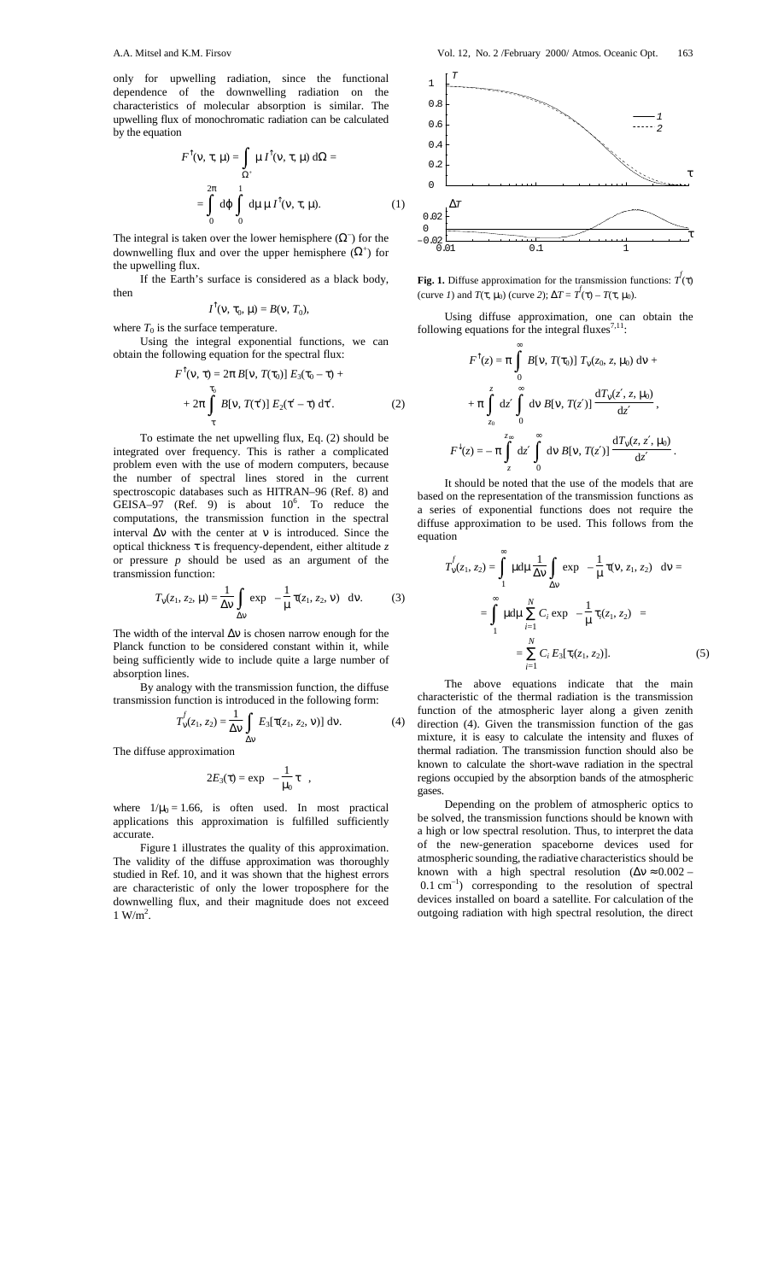only for upwelling radiation, since the functional dependence of the downwelling radiation on the characteristics of molecular absorption is similar. The upwelling flux of monochromatic radiation can be calculated by the equation

$$
F^{\uparrow}(v, \tau, \mu) = \int_{\Omega^+} \mu I^{\uparrow}(v, \tau, \mu) d\Omega =
$$
  

$$
= \int_{0}^{2\pi} d\varphi \int_{0}^{1} d\mu \mu I^{\uparrow}(v, \tau, \mu).
$$
 (1)

The integral is taken over the lower hemisphere  $(\Omega^{-})$  for the downwelling flux and over the upper hemisphere  $(\Omega^+)$  for the upwelling flux.

If the Earth's surface is considered as a black body, then

$$
I^{\uparrow}(\mathsf{v},\,\tau_0,\,\mu)=B(\mathsf{v},\,T_0),
$$

where  $T_0$  is the surface temperature.

Using the integral exponential functions, we can obtain the following equation for the spectral flux:

$$
F^{\top}(\mathbf{v}, \tau) = 2\pi B[\mathbf{v}, T(\tau_0)] E_3(\tau_0 - \tau) +
$$
  
+ 2\pi  $\int_{\tau}^{\tau_0} B[\mathbf{v}, T(\tau')] E_2(\tau' - \tau) d\tau'.$  (2)

To estimate the net upwelling flux, Eq. (2) should be integrated over frequency. This is rather a complicated problem even with the use of modern computers, because the number of spectral lines stored in the current spectroscopic databases such as HITRAN–96 (Ref. 8) and GEISA-97 (Ref. 9) is about  $10^6$ . To reduce the computations, the transmission function in the spectral interval ∆ν with the center at ν is introduced. Since the optical thickness τ is frequency-dependent, either altitude *z* or pressure *p* should be used as an argument of the transmission function:

$$
T_{\nu}(z_1, z_2, \mu) = \frac{1}{\Delta \nu} \int_{\Delta \nu} \exp \left\{-\frac{1}{\mu} \tau(z_1, z_2, \nu)\right\} d\nu.
$$
 (3)

The width of the interval  $\Delta v$  is chosen narrow enough for the Planck function to be considered constant within it, while being sufficiently wide to include quite a large number of absorption lines.

By analogy with the transmission function, the diffuse transmission function is introduced in the following form:

$$
T_{\nu}^{f}(z_1, z_2) = \frac{1}{\Delta \nu} \int_{\Delta \nu} E_3[\tau(z_1, z_2, \nu)] \, d\nu.
$$
 (4)

The diffuse approximation

$$
2E_3(\tau) = \exp\left\{-\frac{1}{\mu_0}\,\tau\right\},\,
$$

where  $1/\mu_0 = 1.66$ , is often used. In most practical applications this approximation is fulfilled sufficiently accurate.

Figure 1 illustrates the quality of this approximation. The validity of the diffuse approximation was thoroughly studied in Ref. 10, and it was shown that the highest errors are characteristic of only the lower troposphere for the downwelling flux, and their magnitude does not exceed  $1 \text{ W/m}^2$ .



**Fig. 1.** Diffuse approximation for the transmission functions:  $T^{f}(\tau)$ (curve *1*) and *T*(τ, μ<sub>0</sub>) (curve 2);  $\Delta T = T^f(\tau) - T(\tau, \mu_0)$ .

Using diffuse approximation, one can obtain the following equations for the integral fluxes $^{7,11}$ :

$$
F^{\uparrow}(z) = \pi \int_{0}^{\infty} B[v, T(\tau_0)] T_v(z_0, z, \mu_0) dv +
$$
  
+ 
$$
\pi \int_{z_0}^{z} dz' \int_{0}^{\infty} dv B[v, T(z')] \frac{dT_v(z', z, \mu_0)}{dz'},
$$
  

$$
F^{\downarrow}(z) = -\pi \int_{z}^{z_{\infty}} dz' \int_{0}^{\infty} dv B[v, T(z')] \frac{dT_v(z, z', \mu_0)}{dz'}.
$$

It should be noted that the use of the models that are based on the representation of the transmission functions as a series of exponential functions does not require the diffuse approximation to be used. This follows from the equation

$$
T_{\nu}^{f}(z_{1}, z_{2}) = \int_{1}^{\infty} \mu d\mu \frac{1}{\Delta \nu} \int_{\Delta \nu} \exp \left\{-\frac{1}{\mu} \tau(\nu, z_{1}, z_{2})\right\} d\nu =
$$
  

$$
= \int_{1}^{\infty} \mu d\mu \sum_{i=1}^{N} C_{i} \exp \left\{-\frac{1}{\mu} \tau_{i}(z_{1}, z_{2})\right\} =
$$
  

$$
= \sum_{i=1}^{N} C_{i} E_{3}[\tau_{i}(z_{1}, z_{2})].
$$
 (5)

The above equations indicate that the main characteristic of the thermal radiation is the transmission function of the atmospheric layer along a given zenith direction (4). Given the transmission function of the gas mixture, it is easy to calculate the intensity and fluxes of thermal radiation. The transmission function should also be known to calculate the short-wave radiation in the spectral regions occupied by the absorption bands of the atmospheric gases.

Depending on the problem of atmospheric optics to be solved, the transmission functions should be known with a high or low spectral resolution. Thus, to interpret the data of the new-generation spaceborne devices used for atmospheric sounding, the radiative characteristics should be known with a high spectral resolution ( $\Delta v \approx 0.002$  –  $0.1 \text{ cm}^{-1}$ ) corresponding to the resolution of spectral devices installed on board a satellite. For calculation of the outgoing radiation with high spectral resolution, the direct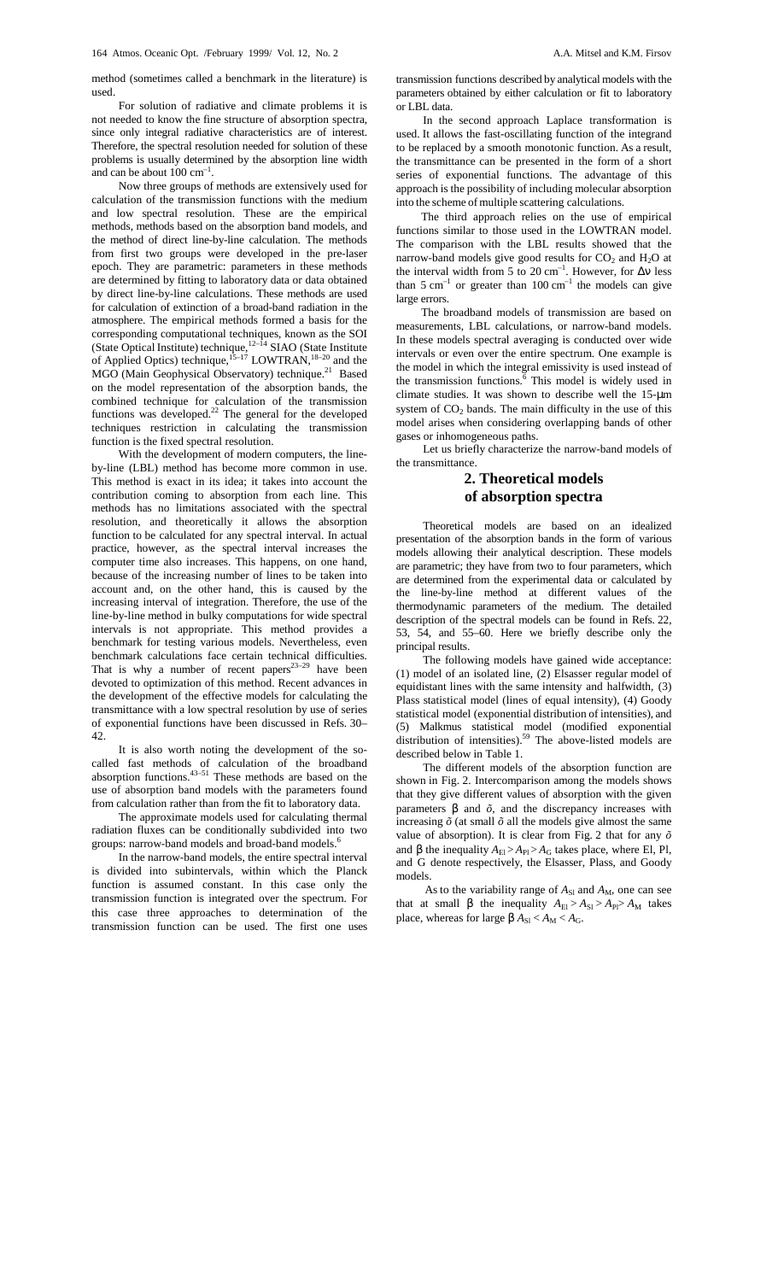method (sometimes called a benchmark in the literature) is used.

For solution of radiative and climate problems it is not needed to know the fine structure of absorption spectra, since only integral radiative characteristics are of interest. Therefore, the spectral resolution needed for solution of these problems is usually determined by the absorption line width and can be about  $100 \text{ cm}^{-1}$ .

Now three groups of methods are extensively used for calculation of the transmission functions with the medium and low spectral resolution. These are the empirical methods, methods based on the absorption band models, and the method of direct line-by-line calculation. The methods from first two groups were developed in the pre-laser epoch. They are parametric: parameters in these methods are determined by fitting to laboratory data or data obtained by direct line-by-line calculations. These methods are used for calculation of extinction of a broad-band radiation in the atmosphere. The empirical methods formed a basis for the corresponding computational techniques, known as the SOI (State Optical Institute) technique,<sup>12-14</sup> SIAO (State Institute of Applied Optics) technique,  $^{15-17}$  LOWTRAN,  $^{18-20}$  and the MGO (Main Geophysical Observatory) technique.<sup>21</sup> Based on the model representation of the absorption bands, the combined technique for calculation of the transmission functions was developed. $^{22}$  The general for the developed techniques restriction in calculating the transmission function is the fixed spectral resolution.

With the development of modern computers, the lineby-line (LBL) method has become more common in use. This method is exact in its idea; it takes into account the contribution coming to absorption from each line. This methods has no limitations associated with the spectral resolution, and theoretically it allows the absorption function to be calculated for any spectral interval. In actual practice, however, as the spectral interval increases the computer time also increases. This happens, on one hand, because of the increasing number of lines to be taken into account and, on the other hand, this is caused by the increasing interval of integration. Therefore, the use of the line-by-line method in bulky computations for wide spectral intervals is not appropriate. This method provides a benchmark for testing various models. Nevertheless, even benchmark calculations face certain technical difficulties. That is why a number of recent papers $23-29$  have been devoted to optimization of this method. Recent advances in the development of the effective models for calculating the transmittance with a low spectral resolution by use of series of exponential functions have been discussed in Refs. 30– 42.

It is also worth noting the development of the socalled fast methods of calculation of the broadband absorption functions.43–51 These methods are based on the use of absorption band models with the parameters found from calculation rather than from the fit to laboratory data.

The approximate models used for calculating thermal radiation fluxes can be conditionally subdivided into two groups: narrow-band models and broad-band models.<sup>6</sup>

In the narrow-band models, the entire spectral interval is divided into subintervals, within which the Planck function is assumed constant. In this case only the transmission function is integrated over the spectrum. For this case three approaches to determination of the transmission function can be used. The first one uses transmission functions described by analytical models with the parameters obtained by either calculation or fit to laboratory or LBL data.

In the second approach Laplace transformation is used. It allows the fast-oscillating function of the integrand to be replaced by a smooth monotonic function. As a result, the transmittance can be presented in the form of a short series of exponential functions. The advantage of this approach is the possibility of including molecular absorption into the scheme of multiple scattering calculations.

The third approach relies on the use of empirical functions similar to those used in the LOWTRAN model. The comparison with the LBL results showed that the narrow-band models give good results for  $CO<sub>2</sub>$  and  $H<sub>2</sub>O$  at the interval width from 5 to 20 cm<sup>-1</sup>. However, for  $\Delta v$  less than  $5 \text{ cm}^{-1}$  or greater than  $100 \text{ cm}^{-1}$  the models can give large errors.

The broadband models of transmission are based on measurements, LBL calculations, or narrow-band models. In these models spectral averaging is conducted over wide intervals or even over the entire spectrum. One example is the model in which the integral emissivity is used instead of the transmission functions.<sup>6</sup> This model is widely used in climate studies. It was shown to describe well the 15-µm system of  $CO<sub>2</sub>$  bands. The main difficulty in the use of this model arises when considering overlapping bands of other gases or inhomogeneous paths.

Let us briefly characterize the narrow-band models of the transmittance.

# **2. Theoretical models of absorption spectra**

Theoretical models are based on an idealized presentation of the absorption bands in the form of various models allowing their analytical description. These models are parametric; they have from two to four parameters, which are determined from the experimental data or calculated by the line-by-line method at different values of the thermodynamic parameters of the medium. The detailed description of the spectral models can be found in Refs. 22, 53, 54, and 55–60. Here we briefly describe only the principal results.

The following models have gained wide acceptance: (1) model of an isolated line, (2) Elsasser regular model of equidistant lines with the same intensity and halfwidth, (3) Plass statistical model (lines of equal intensity), (4) Goody statistical model (exponential distribution of intensities), and (5) Malkmus statistical model (modified exponential distribution of intensities).<sup>59</sup> The above-listed models are described below in Table 1.

The different models of the absorption function are shown in Fig. 2. Intercomparison among the models shows that they give different values of absorption with the given parameters  $\beta$  and  $\delta$ , and the discrepancy increases with increasing  $\tilde{o}$  (at small  $\tilde{o}$  all the models give almost the same value of absorption). It is clear from Fig. 2 that for any *õ* and  $\beta$  the inequality  $A_{\text{El}} > A_{\text{Pl}} > A_G$  takes place, where El, Pl, and G denote respectively, the Elsasser, Plass, and Goody models.

As to the variability range of  $A_{\rm SI}$  and  $A_{\rm M}$ , one can see that at small  $\beta$  the inequality  $A_{El} > A_{Sl} > A_{Pl} > A_M$  takes place, whereas for large  $β A_{SI} < A_M < A_G$ .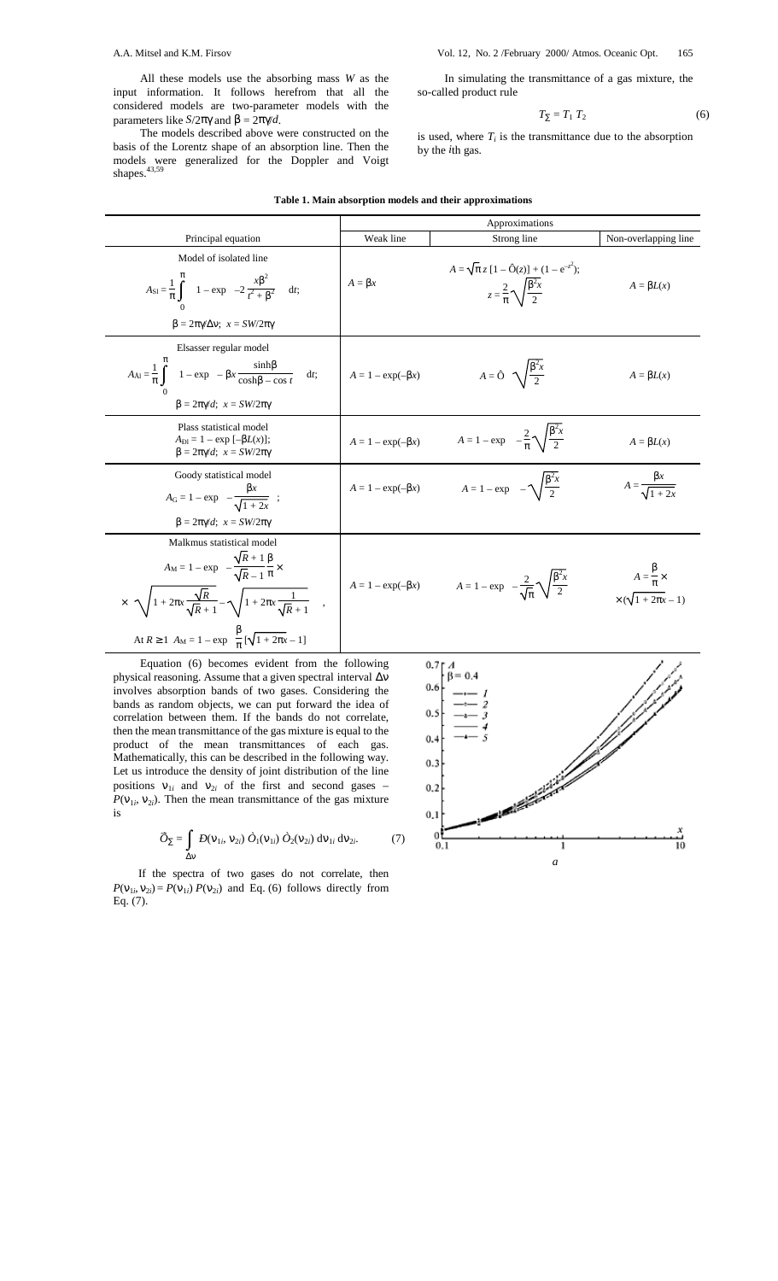All these models use the absorbing mass *W* as the input information. It follows herefrom that all the considered models are two-parameter models with the parameters like *S*/2πγ and β = 2πγ/*d*.

The models described above were constructed on the basis of the Lorentz shape of an absorption line. Then the models were generalized for the Doppler and Voigt shapes.<sup>43,59</sup>

In simulating the transmittance of a gas mixture, the so-called product rule

$$
T_{\Sigma} = T_1 T_2 \tag{6}
$$

is used, where  $T_i$  is the transmittance due to the absorption by the *i*th gas.

|                                                                                                                                                                                                                                                                                                                                  | Approximations           |                                                                                                     |                                                                    |
|----------------------------------------------------------------------------------------------------------------------------------------------------------------------------------------------------------------------------------------------------------------------------------------------------------------------------------|--------------------------|-----------------------------------------------------------------------------------------------------|--------------------------------------------------------------------|
| Principal equation                                                                                                                                                                                                                                                                                                               | Weak line                | Strong line                                                                                         | Non-overlapping line                                               |
| Model of isolated line<br>$A_{\text{SI}} = \frac{1}{\pi} \int_{0}^{\infty} \left[ 1 - \exp \left( -2 \frac{x \beta^2}{t^2 + \beta^2} \right) \right] dt;$<br>$\beta = 2\pi \gamma/\Delta v$ ; $x = SW/2\pi \gamma$                                                                                                               | $A = \beta x$            | $A = \sqrt{\pi} z [1 - \hat{O}(z)] + (1 - e^{-z^2});$<br>$z=\frac{2}{\pi}\sqrt{\frac{\beta^2x}{2}}$ | $A = \beta L(x)$                                                   |
| Elsasser regular model<br>$A_{\lambda 1} = \frac{1}{\pi} \int \left[ 1 - \exp \left( -\beta x \frac{\sinh \beta}{\cosh \beta - \cos t} \right) \right] dt;$<br>$\beta = 2\pi y/d$ ; $x = SW/2\pi y$                                                                                                                              | $A = 1 - \exp(-\beta x)$ | $A = \hat{O}\left(\sqrt{\frac{\beta^2 x}{2}}\right)$                                                | $A = \beta L(x)$                                                   |
| Plass statistical model<br>$A_{\text{DI}} = 1 - \exp[-\beta L(x)];$<br>$\beta = 2\pi \gamma/d$ ; $x = SW/2\pi \gamma$                                                                                                                                                                                                            | $A = 1 - \exp(-\beta x)$ | $A = 1 - \exp\left(-\frac{2}{\pi}\sqrt{\frac{\beta^2 x}{2}}\right)$                                 | $A = \beta L(x)$                                                   |
| Goody statistical model<br>$A_{\rm G} = 1 - \exp\left[-\frac{\beta x}{\sqrt{1+2x}}\right];$<br>$\beta = 2\pi \gamma/d$ ; $x = SW/2\pi \gamma$                                                                                                                                                                                    | $A = 1 - \exp(-\beta x)$ | $A = 1 - \exp\left(-\sqrt{\frac{\beta^2 x}{2}}\right)$                                              | $A = \frac{\beta x}{\sqrt{1+2x}}$                                  |
| Malkmus statistical model<br>$A_M = 1 - \exp\left\{-\frac{\sqrt{R+1}}{\sqrt{R-1}}\frac{\beta}{\pi}\right\}$<br>$\times \left\{\sqrt{1+2\pi x \frac{\sqrt{R}}{\sqrt{R}+1}}-\sqrt{1+2\pi x \frac{1}{\sqrt{R}+1}}\right\}$<br>At $R \ge 1$ $A_M = 1 - \exp \left\{ \frac{\beta}{\pi} \left[ \sqrt{1 + 2\pi x} - 1 \right] \right\}$ | $A = 1 - \exp(-\beta x)$ | $A = 1 - \exp\left[-\frac{2}{\sqrt{\pi}}\sqrt{\frac{\beta^2 x}{2}}\right]$                          | $A = \frac{\beta}{\pi} \times$<br>$\times (\sqrt{1 + 2\pi x} - 1)$ |
| Equation (6) becomes evident from the following                                                                                                                                                                                                                                                                                  |                          |                                                                                                     |                                                                    |

**Table 1. Main absorption models and their approximations**

Equation (6) becomes evident from the following physical reasoning. Assume that a given spectral interval ∆ν involves absorption bands of two gases. Considering the bands as random objects, we can put forward the idea of correlation between them. If the bands do not correlate, then the mean transmittance of the gas mixture is equal to the product of the mean transmittances of each gas. Mathematically, this can be described in the following way. Let us introduce the density of joint distribution of the line positions  $v_{1i}$  and  $v_{2i}$  of the first and second gases –  $P(\mathbf{v}_{1i}, \mathbf{v}_{2i})$ . Then the mean transmittance of the gas mixture is

$$
\tilde{O}_{\Sigma} = \int_{\Delta V} D(v_{1i}, v_{2i}) \; \dot{O}_1(v_{1i}) \; \dot{O}_2(v_{2i}) \; \mathrm{d}v_{1i} \; \mathrm{d}v_{2i}. \tag{7}
$$

If the spectra of two gases do not correlate, then  $P(\mathbf{v}_{1i}, \mathbf{v}_{2i}) = P(\mathbf{v}_{1i}) P(\mathbf{v}_{2i})$  and Eq. (6) follows directly from Eq. (7).

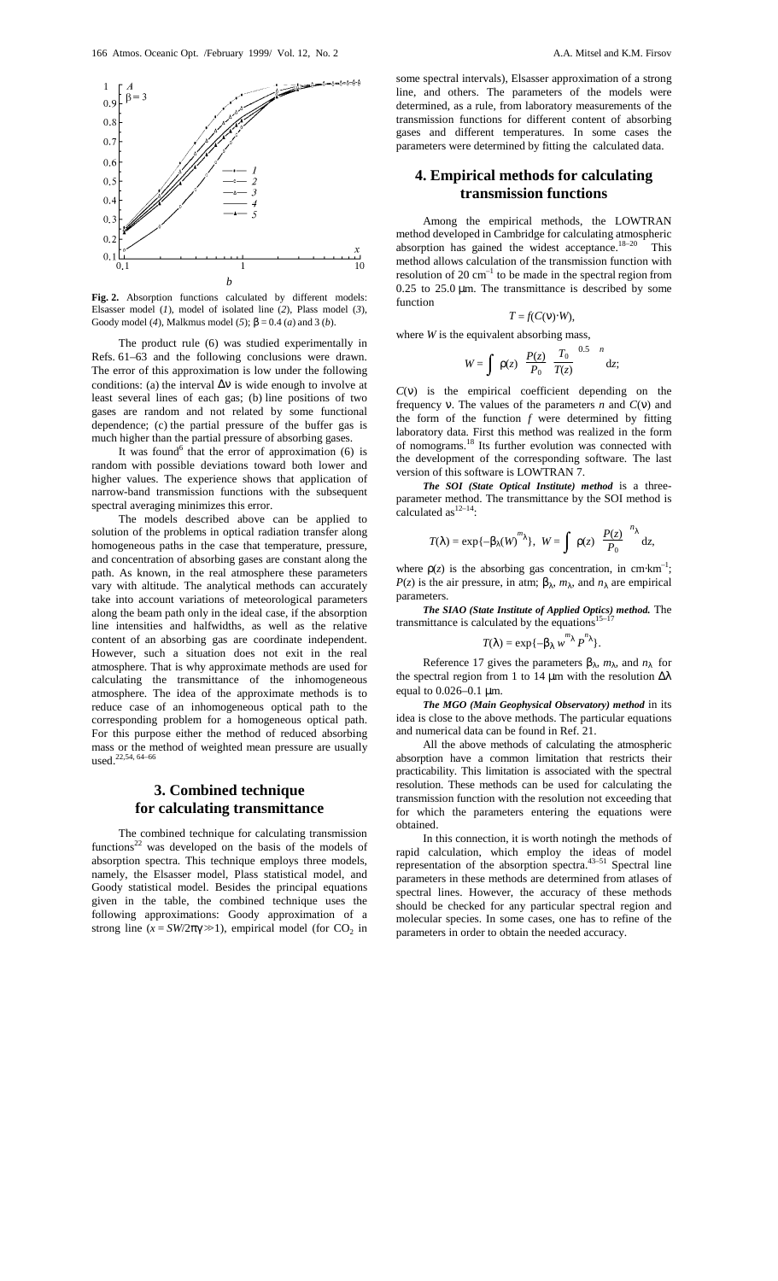

**Fig. 2.** Absorption functions calculated by different models: Elsasser model (*1*), model of isolated line (*2*), Plass model (*3*), Goody model (4), Malkmus model (5);  $\beta = 0.4$  (*a*) and 3 (*b*).

The product rule (6) was studied experimentally in Refs. 61–63 and the following conclusions were drawn. The error of this approximation is low under the following conditions: (a) the interval  $\Delta v$  is wide enough to involve at least several lines of each gas; (b) line positions of two gases are random and not related by some functional dependence; (c) the partial pressure of the buffer gas is much higher than the partial pressure of absorbing gases.

It was found<sup>6</sup> that the error of approximation  $(6)$  is random with possible deviations toward both lower and higher values. The experience shows that application of narrow-band transmission functions with the subsequent spectral averaging minimizes this error.

The models described above can be applied to solution of the problems in optical radiation transfer along homogeneous paths in the case that temperature, pressure, and concentration of absorbing gases are constant along the path. As known, in the real atmosphere these parameters vary with altitude. The analytical methods can accurately take into account variations of meteorological parameters along the beam path only in the ideal case, if the absorption line intensities and halfwidths, as well as the relative content of an absorbing gas are coordinate independent. However, such a situation does not exit in the real atmosphere. That is why approximate methods are used for calculating the transmittance of the inhomogeneous atmosphere. The idea of the approximate methods is to reduce case of an inhomogeneous optical path to the corresponding problem for a homogeneous optical path. For this purpose either the method of reduced absorbing mass or the method of weighted mean pressure are usually used.<sup>22,54, 64–66</sup>

# **3. Combined technique for calculating transmittance**

The combined technique for calculating transmission functions $^{22}$  was developed on the basis of the models of absorption spectra. This technique employs three models, namely, the Elsasser model, Plass statistical model, and Goody statistical model. Besides the principal equations given in the table, the combined technique uses the following approximations: Goody approximation of a strong line  $(x = SW/2\pi y \gg 1)$ , empirical model (for CO<sub>2</sub> in

some spectral intervals), Elsasser approximation of a strong line, and others. The parameters of the models were determined, as a rule, from laboratory measurements of the transmission functions for different content of absorbing gases and different temperatures. In some cases the parameters were determined by fitting the calculated data.

## **4. Empirical methods for calculating transmission functions**

Among the empirical methods, the LOWTRAN method developed in Cambridge for calculating atmospheric absorption has gained the widest acceptance.<sup>18-20</sup> This method allows calculation of the transmission function with resolution of 20  $\text{cm}^{-1}$  to be made in the spectral region from  $0.25$  to  $25.0 \mu m$ . The transmittance is described by some function

$$
T = f(C(v) \cdot W),
$$

where *W* is the equivalent absorbing mass,

$$
W = \int \rho(z) \left[ \frac{P(z)}{P_0} \left( \frac{T_0}{T(z)} \right)^{0.5} \right]^n dz;
$$

 $C(v)$  is the empirical coefficient depending on the frequency ν. The values of the parameters *n* and *C*(ν) and the form of the function *f* were determined by fitting laboratory data. First this method was realized in the form of nomograms.18 Its further evolution was connected with the development of the corresponding software. The last version of this software is LOWTRAN 7.

*The SOI (State Optical Institute) method* is a threeparameter method. The transmittance by the SOI method is calculated as  $12-14$ :

$$
T(\lambda) = \exp\{-\beta_{\lambda}(W)^{m_{\lambda}}\}, \ W = \int \rho(z) \left[\frac{P(z)}{P_0}\right]^{n_{\lambda}} dz,
$$

where  $\rho(z)$  is the absorbing gas concentration, in cm⋅km<sup>-1</sup>; *P*(*z*) is the air pressure, in atm;  $β<sub>λ</sub>$ ,  $m<sub>λ</sub>$ , and  $n<sub>λ</sub>$  are empirical parameters.

*The SIAO (State Institute of Applied Optics) method.* The transmittance is calculated by the equations<sup>15–1</sup>

$$
T(\lambda) = \exp\{-\beta_{\lambda} w^{m_{\lambda}} P^{n_{\lambda}}\}.
$$

Reference 17 gives the parameters  $\beta_{\lambda}$ ,  $m_{\lambda}$ , and  $n_{\lambda}$  for the spectral region from 1 to 14  $\mu$ m with the resolution  $\Delta\lambda$ equal to 0.026–0.1 µm.

*The MGO (Main Geophysical Observatory) method* in its idea is close to the above methods. The particular equations and numerical data can be found in Ref. 21.

All the above methods of calculating the atmospheric absorption have a common limitation that restricts their practicability. This limitation is associated with the spectral resolution. These methods can be used for calculating the transmission function with the resolution not exceeding that for which the parameters entering the equations were obtained.

In this connection, it is worth notingh the methods of rapid calculation, which employ the ideas of model representation of the absorption spectra. $43-51$  Spectral line parameters in these methods are determined from atlases of spectral lines. However, the accuracy of these methods should be checked for any particular spectral region and molecular species. In some cases, one has to refine of the parameters in order to obtain the needed accuracy.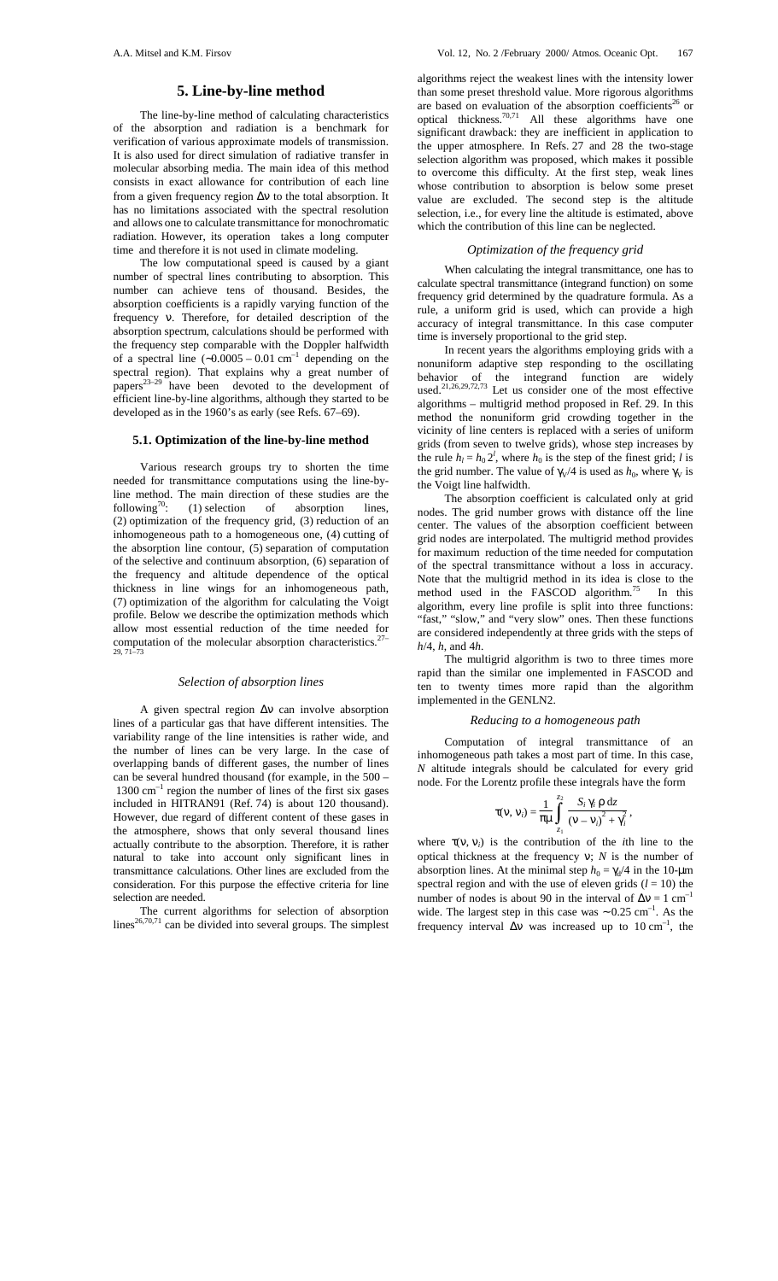## **5. Line-by-line method**

The line-by-line method of calculating characteristics of the absorption and radiation is a benchmark for verification of various approximate models of transmission. It is also used for direct simulation of radiative transfer in molecular absorbing media. The main idea of this method consists in exact allowance for contribution of each line from a given frequency region  $\Delta v$  to the total absorption. It has no limitations associated with the spectral resolution and allows one to calculate transmittance for monochromatic radiation. However, its operation takes a long computer time and therefore it is not used in climate modeling.

The low computational speed is caused by a giant number of spectral lines contributing to absorption. This number can achieve tens of thousand. Besides, the absorption coefficients is a rapidly varying function of the frequency ν. Therefore, for detailed description of the absorption spectrum, calculations should be performed with the frequency step comparable with the Doppler halfwidth of a spectral line  $(-0.0005 - 0.01 \text{ cm}^{-1})$  depending on the spectral region). That explains why a great number of  $p_{\text{apers}}^{23-29}$  have been devoted to the development of efficient line-by-line algorithms, although they started to be developed as in the 1960's as early (see Refs. 67–69).

#### **5.1. Optimization of the line-by-line method**

Various research groups try to shorten the time needed for transmittance computations using the line-byline method. The main direction of these studies are the following<sup>70</sup>: (1) selection of absorption lines, (2) optimization of the frequency grid, (3) reduction of an inhomogeneous path to a homogeneous one, (4) cutting of the absorption line contour, (5) separation of computation of the selective and continuum absorption, (6) separation of the frequency and altitude dependence of the optical thickness in line wings for an inhomogeneous path, (7) optimization of the algorithm for calculating the Voigt profile. Below we describe the optimization methods which allow most essential reduction of the time needed for computation of the molecular absorption characteristics.<sup>27-</sup> 29, 71–73

#### *Selection of absorption lines*

A given spectral region ∆ν can involve absorption lines of a particular gas that have different intensities. The variability range of the line intensities is rather wide, and the number of lines can be very large. In the case of overlapping bands of different gases, the number of lines can be several hundred thousand (for example, in the 500 –  $1300 \text{ cm}^{-1}$  region the number of lines of the first six gases included in HITRAN91 (Ref. 74) is about 120 thousand). However, due regard of different content of these gases in the atmosphere, shows that only several thousand lines actually contribute to the absorption. Therefore, it is rather natural to take into account only significant lines in transmittance calculations. Other lines are excluded from the consideration. For this purpose the effective criteria for line selection are needed.

The current algorithms for selection of absorption lines<sup>26,70,71</sup> can be divided into several groups. The simplest

algorithms reject the weakest lines with the intensity lower than some preset threshold value. More rigorous algorithms are based on evaluation of the absorption coefficients<sup>26</sup> or optical thickness.70,71 All these algorithms have one significant drawback: they are inefficient in application to the upper atmosphere. In Refs. 27 and 28 the two-stage selection algorithm was proposed, which makes it possible to overcome this difficulty. At the first step, weak lines whose contribution to absorption is below some preset value are excluded. The second step is the altitude selection, i.e., for every line the altitude is estimated, above which the contribution of this line can be neglected.

#### *Optimization of the frequency grid*

When calculating the integral transmittance, one has to calculate spectral transmittance (integrand function) on some frequency grid determined by the quadrature formula. As a rule, a uniform grid is used, which can provide a high accuracy of integral transmittance. In this case computer time is inversely proportional to the grid step.

In recent years the algorithms employing grids with a nonuniform adaptive step responding to the oscillating behavior of the integrand function are widely used.<sup>21,26,29,72,73</sup> Let us consider one of the most effective algorithms – multigrid method proposed in Ref. 29. In this method the nonuniform grid crowding together in the vicinity of line centers is replaced with a series of uniform grids (from seven to twelve grids), whose step increases by the rule  $h_l = h_0 2^l$ , where  $h_0$  is the step of the finest grid; *l* is the grid number. The value of  $\gamma$ <sub>V</sub>/4 is used as  $h_0$ , where  $\gamma$ <sub>V</sub> is the Voigt line halfwidth.

The absorption coefficient is calculated only at grid nodes. The grid number grows with distance off the line center. The values of the absorption coefficient between grid nodes are interpolated. The multigrid method provides for maximum reduction of the time needed for computation of the spectral transmittance without a loss in accuracy. Note that the multigrid method in its idea is close to the method used in the FASCOD algorithm.<sup>75</sup> In this algorithm, every line profile is split into three functions: "fast," "slow," and "very slow" ones. Then these functions are considered independently at three grids with the steps of *h*/4, *h*, and 4*h*.

The multigrid algorithm is two to three times more rapid than the similar one implemented in FASCOD and ten to twenty times more rapid than the algorithm implemented in the GENLN2.

#### *Reducing to a homogeneous path*

Computation of integral transmittance of an inhomogeneous path takes a most part of time. In this case, *N* altitude integrals should be calculated for every grid node. For the Lorentz profile these integrals have the form

$$
\tau(v, v_i) = \frac{1}{\pi \mu} \int_{z_1}^{z_2} \frac{S_i \gamma_i \rho dz}{(v - v_i)^2 + \gamma_i^2},
$$

where  $\tau(v, v_i)$  is the contribution of the *i*th line to the optical thickness at the frequency ν; *N* is the number of absorption lines. At the minimal step  $h_0 = \gamma_d/4$  in the 10-µm spectral region and with the use of eleven grids  $(l = 10)$  the number of nodes is about 90 in the interval of  $\Delta v = 1$  cm<sup>-1</sup> wide. The largest step in this case was ~ 0.25 cm<sup>-1</sup>. As the frequency interval  $\Delta v$  was increased up to 10 cm<sup>-1</sup>, the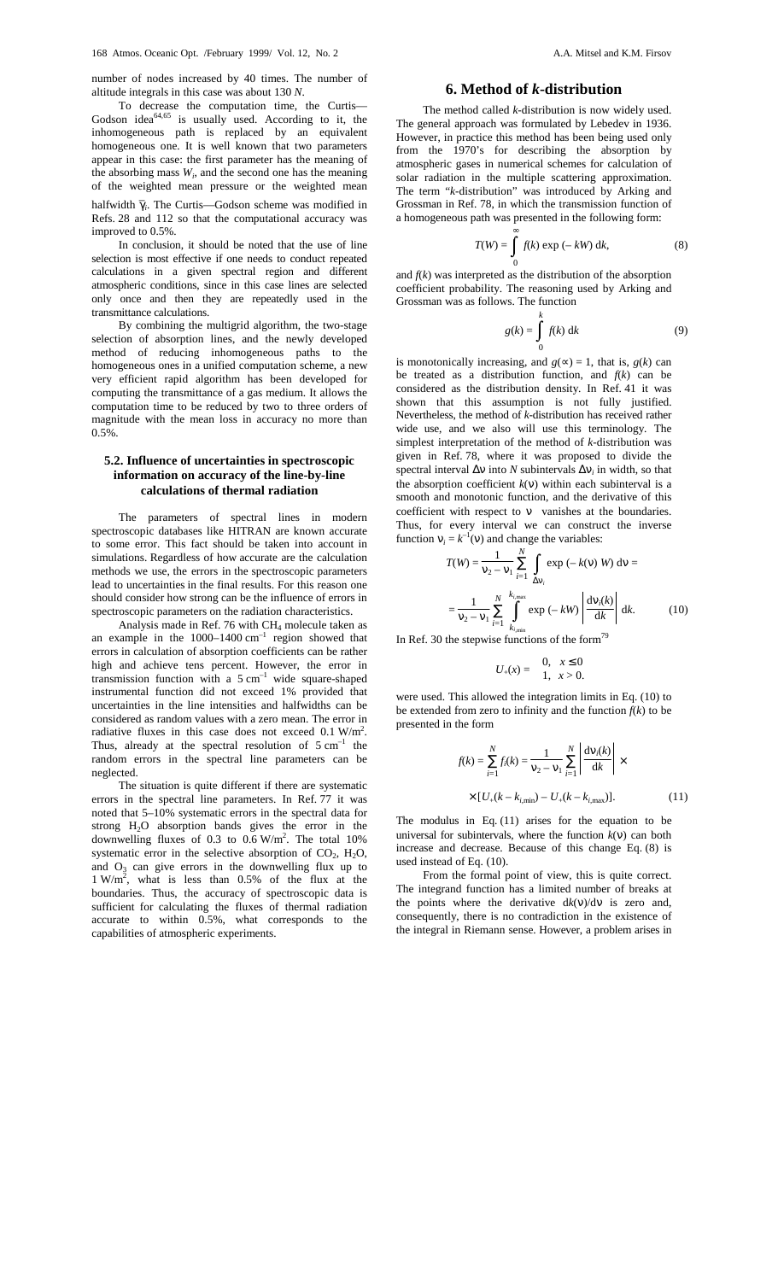number of nodes increased by 40 times. The number of altitude integrals in this case was about 130 *N*.

To decrease the computation time, the Curtis— Godson idea<sup>64,65</sup> is usually used. According to it, the inhomogeneous path is replaced by an equivalent homogeneous one. It is well known that two parameters appear in this case: the first parameter has the meaning of the absorbing mass *Wi*, and the second one has the meaning of the weighted mean pressure or the weighted mean

halfwidth  $\bar{\gamma}_i$ . The Curtis—Godson scheme was modified in Refs. 28 and 112 so that the computational accuracy was improved to 0.5%.

In conclusion, it should be noted that the use of line selection is most effective if one needs to conduct repeated calculations in a given spectral region and different atmospheric conditions, since in this case lines are selected only once and then they are repeatedly used in the transmittance calculations.

By combining the multigrid algorithm, the two-stage selection of absorption lines, and the newly developed method of reducing inhomogeneous paths to the homogeneous ones in a unified computation scheme, a new very efficient rapid algorithm has been developed for computing the transmittance of a gas medium. It allows the computation time to be reduced by two to three orders of magnitude with the mean loss in accuracy no more than 0.5%.

### **5.2. Influence of uncertainties in spectroscopic information on accuracy of the line-by-line calculations of thermal radiation**

The parameters of spectral lines in modern spectroscopic databases like HITRAN are known accurate to some error. This fact should be taken into account in simulations. Regardless of how accurate are the calculation methods we use, the errors in the spectroscopic parameters lead to uncertainties in the final results. For this reason one should consider how strong can be the influence of errors in spectroscopic parameters on the radiation characteristics.

Analysis made in Ref. 76 with  $CH<sub>4</sub>$  molecule taken as an example in the  $1000-1400$  cm<sup>-1</sup> region showed that errors in calculation of absorption coefficients can be rather high and achieve tens percent. However, the error in transmission function with a  $5 \text{ cm}^{-1}$  wide square-shaped instrumental function did not exceed 1% provided that uncertainties in the line intensities and halfwidths can be considered as random values with a zero mean. The error in radiative fluxes in this case does not exceed  $0.1 \text{ W/m}^2$ . Thus, already at the spectral resolution of  $5 \text{ cm}^{-1}$  the random errors in the spectral line parameters can be neglected.

The situation is quite different if there are systematic errors in the spectral line parameters. In Ref. 77 it was noted that 5–10% systematic errors in the spectral data for strong  $H_2O$  absorption bands gives the error in the downwelling fluxes of  $0.3$  to  $0.6$  W/m<sup>2</sup>. The total  $10\%$ systematic error in the selective absorption of  $CO<sub>2</sub>$ ,  $H<sub>2</sub>O$ , and  $O_3$  can give errors in the downwelling flux up to 1 W/m2 , what is less than 0.5% of the flux at the boundaries. Thus, the accuracy of spectroscopic data is sufficient for calculating the fluxes of thermal radiation accurate to within 0.5%, what corresponds to the capabilities of atmospheric experiments.

#### **6. Method of** *k***-distribution**

The method called *k*-distribution is now widely used. The general approach was formulated by Lebedev in 1936. However, in practice this method has been being used only from the 1970's for describing the absorption by atmospheric gases in numerical schemes for calculation of solar radiation in the multiple scattering approximation. The term "*k*-distribution" was introduced by Arking and Grossman in Ref. 78, in which the transmission function of a homogeneous path was presented in the following form:

$$
T(W) = \int_{0}^{\infty} f(k) \exp(-kW) \, dk,
$$
 (8)

and  $f(k)$  was interpreted as the distribution of the absorption coefficient probability. The reasoning used by Arking and Grossman was as follows. The function

$$
g(k) = \int_{0}^{k} f(k) \, \mathrm{d}k \tag{9}
$$

is monotonically increasing, and  $g(\infty) = 1$ , that is,  $g(k)$  can be treated as a distribution function, and *f*(*k*) can be considered as the distribution density. In Ref. 41 it was shown that this assumption is not fully justified. Nevertheless, the method of *k*-distribution has received rather wide use, and we also will use this terminology. The simplest interpretation of the method of *k*-distribution was given in Ref. 78, where it was proposed to divide the spectral interval ∆ν into *N* subintervals ∆ν*i* in width, so that the absorption coefficient  $k(v)$  within each subinterval is a smooth and monotonic function, and the derivative of this coefficient with respect to ν vanishes at the boundaries. Thus, for every interval we can construct the inverse function  $v_i = k^{-1}(v)$  and change the variables:

$$
T(W) = \frac{1}{v_2 - v_1} \sum_{i=1}^{N} \int_{\Delta v_i} \exp(-k(v) \, W) \, dv =
$$

$$
= \frac{1}{v_2 - v_1} \sum_{i=1}^{N} \int_{k_{i,\text{min}}}^{k_{i,\text{max}}} \exp(-kW) \left| \frac{dv_i(k)}{dk} \right| \, dk. \tag{10}
$$

In Ref. 30 the stepwise functions of the form<sup>79</sup>

$$
U_{+}(x) = \begin{cases} 0, & x \le 0 \\ 1, & x > 0. \end{cases}
$$

were used. This allowed the integration limits in Eq. (10) to be extended from zero to infinity and the function  $f(k)$  to be presented in the form

$$
f(k) = \sum_{i=1}^{N} f_i(k) = \frac{1}{\nu_2 - \nu_1} \sum_{i=1}^{N} \left| \frac{d\nu_i(k)}{dk} \right| \times
$$
  
 
$$
\times [U_{+}(k - k_{i,\text{min}}) - U_{+}(k - k_{i,\text{max}})]. \tag{11}
$$

The modulus in Eq. (11) arises for the equation to be universal for subintervals, where the function *k*(ν) can both increase and decrease. Because of this change Eq. (8) is used instead of Eq. (10).

From the formal point of view, this is quite correct. The integrand function has a limited number of breaks at the points where the derivative d*k*(ν)/dν is zero and, consequently, there is no contradiction in the existence of the integral in Riemann sense. However, a problem arises in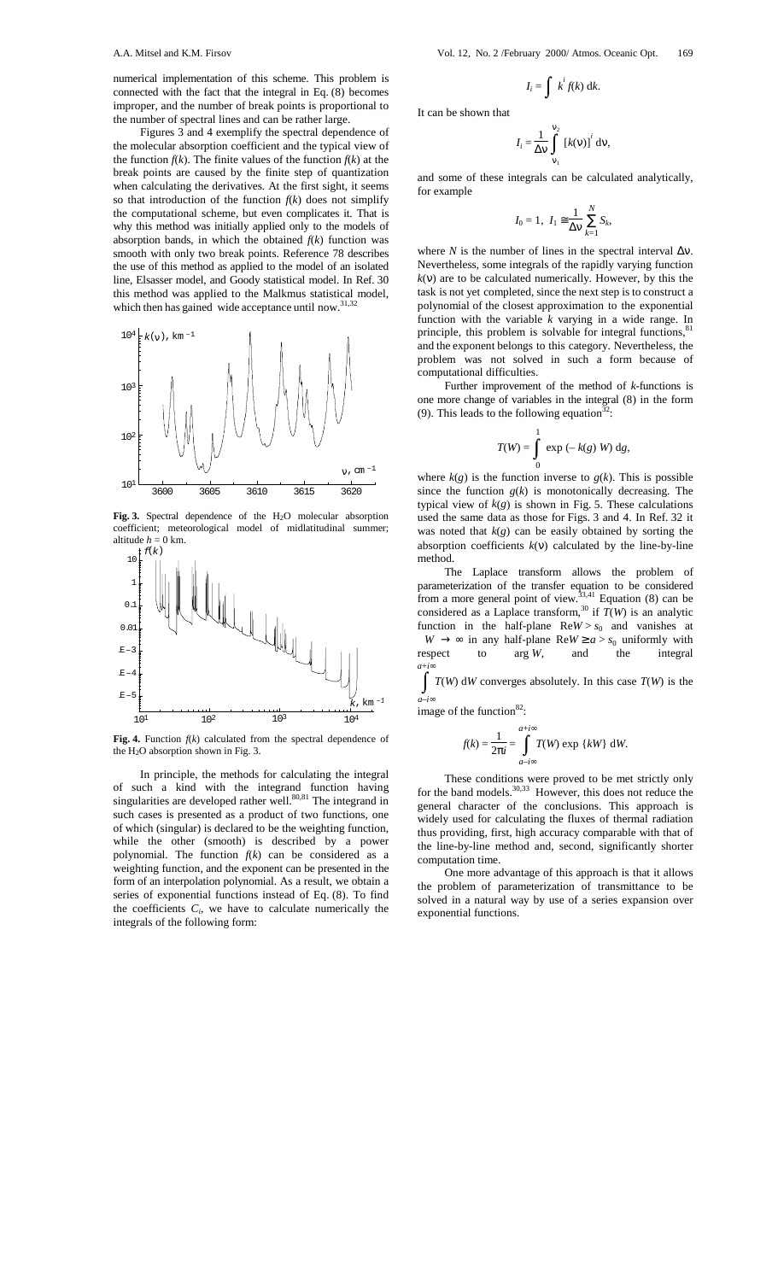numerical implementation of this scheme. This problem is connected with the fact that the integral in Eq. (8) becomes improper, and the number of break points is proportional to the number of spectral lines and can be rather large.

Figures 3 and 4 exemplify the spectral dependence of the molecular absorption coefficient and the typical view of the function  $f(k)$ . The finite values of the function  $f(k)$  at the break points are caused by the finite step of quantization when calculating the derivatives. At the first sight, it seems so that introduction of the function  $f(k)$  does not simplify the computational scheme, but even complicates it. That is why this method was initially applied only to the models of absorption bands, in which the obtained  $f(k)$  function was smooth with only two break points. Reference 78 describes the use of this method as applied to the model of an isolated line, Elsasser model, and Goody statistical model. In Ref. 30 this method was applied to the Malkmus statistical model, which then has gained wide acceptance until now. $31,32$ 



Fig. 3. Spectral dependence of the H<sub>2</sub>O molecular absorption coefficient; meteorological model of midlatitudinal summer; altitude  $h = 0$  km.



**Fig. 4.** Function  $f(k)$  calculated from the spectral dependence of the H2O absorption shown in Fig. 3.

In principle, the methods for calculating the integral of such a kind with the integrand function having singularities are developed rather well.<sup>80,81</sup> The integrand in such cases is presented as a product of two functions, one of which (singular) is declared to be the weighting function, while the other (smooth) is described by a power polynomial. The function  $f(k)$  can be considered as a weighting function, and the exponent can be presented in the form of an interpolation polynomial. As a result, we obtain a series of exponential functions instead of Eq. (8). To find the coefficients  $C_i$ , we have to calculate numerically the integrals of the following form:

$$
I_i = \int k^i f(k) \, \mathrm{d}k.
$$

It can be shown that

$$
I_i = \frac{1}{\Delta v} \int_{v_1}^{v_2} [k(v)]^i dv,
$$

and some of these integrals can be calculated analytically, for example

$$
I_0 = 1, I_1 \cong \frac{1}{\Delta v} \sum_{k=1}^N S_k,
$$

where *N* is the number of lines in the spectral interval  $\Delta v$ . Nevertheless, some integrals of the rapidly varying function *k*(ν) are to be calculated numerically. However, by this the task is not yet completed, since the next step is to construct a polynomial of the closest approximation to the exponential function with the variable *k* varying in a wide range. In principle, this problem is solvable for integral functions, 81 and the exponent belongs to this category. Nevertheless, the problem was not solved in such a form because of computational difficulties.

Further improvement of the method of *k*-functions is one more change of variables in the integral (8) in the form (9). This leads to the following equation<sup>32</sup>:

$$
T(W) = \int_{0}^{1} \exp(-k(g) W) dg,
$$

where  $k(g)$  is the function inverse to  $g(k)$ . This is possible since the function  $g(k)$  is monotonically decreasing. The typical view of  $k(g)$  is shown in Fig. 5. These calculations used the same data as those for Figs. 3 and 4. In Ref. 32 it was noted that  $k(g)$  can be easily obtained by sorting the absorption coefficients *k*(ν) calculated by the line-by-line method.

The Laplace transform allows the problem of parameterization of the transfer equation to be considered from a more general point of view. $33,41$  Equation (8) can be considered as a Laplace transform,<sup>30</sup> if  $T(W)$  is an analytic function in the half-plane  $\text{Re}W > s_0$  and vanishes at  $|W| \rightarrow \infty$  in any half-plane ReW  $\ge a > s_0$  uniformly with respect to arg *W*, and the integral *a*+*i*∞

⌡⌠ *a*–*i*∞  $T(W)$  dW converges absolutely. In this case  $T(W)$  is the

image of the function $82$ :

$$
f(k) = \frac{1}{2\pi i} = \int_{a - i\infty}^{a + i\infty} T(W) \exp \{kW\} dW.
$$

These conditions were proved to be met strictly only for the band models.<sup>30,33</sup> However, this does not reduce the general character of the conclusions. This approach is widely used for calculating the fluxes of thermal radiation thus providing, first, high accuracy comparable with that of the line-by-line method and, second, significantly shorter computation time.

One more advantage of this approach is that it allows the problem of parameterization of transmittance to be solved in a natural way by use of a series expansion over exponential functions.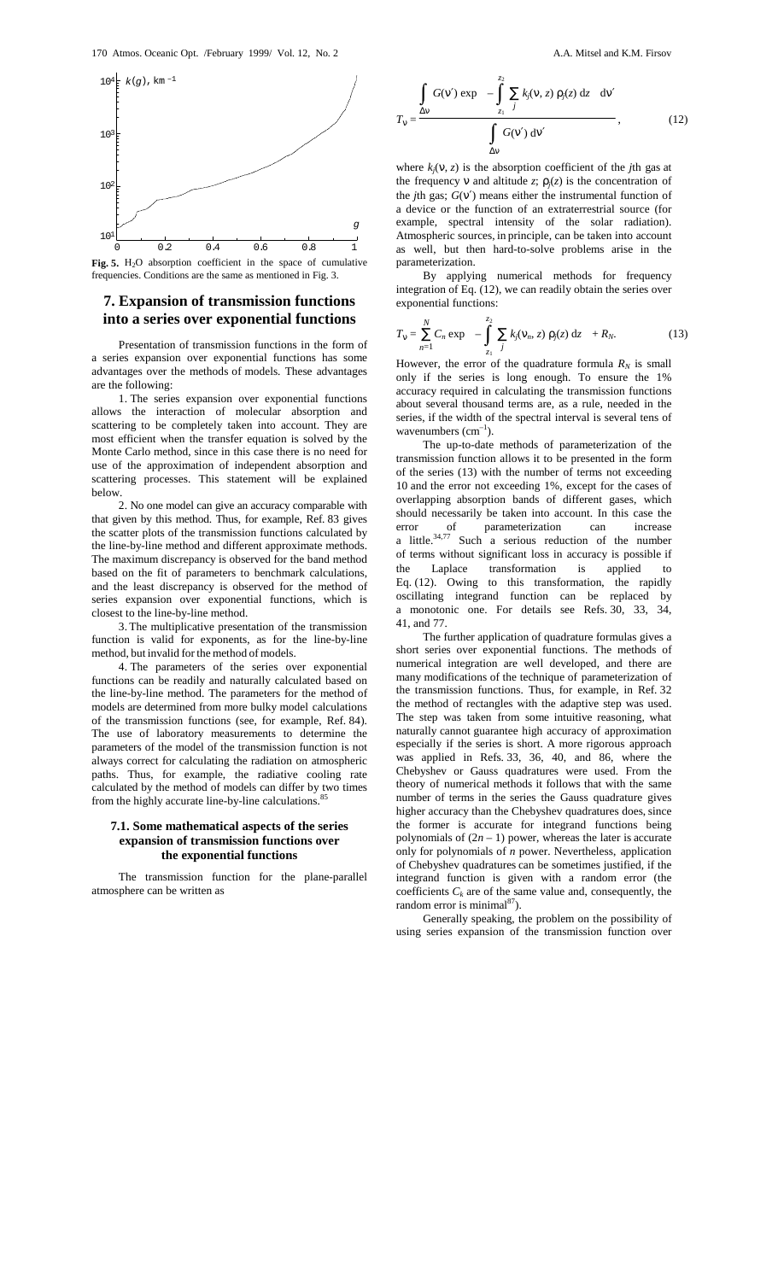

Fig. 5. H<sub>2</sub>O absorption coefficient in the space of cumulative frequencies. Conditions are the same as mentioned in Fig. 3.

# **7. Expansion of transmission functions into a series over exponential functions**

Presentation of transmission functions in the form of a series expansion over exponential functions has some advantages over the methods of models. These advantages are the following:

1. The series expansion over exponential functions allows the interaction of molecular absorption and scattering to be completely taken into account. They are most efficient when the transfer equation is solved by the Monte Carlo method, since in this case there is no need for use of the approximation of independent absorption and scattering processes. This statement will be explained below.

2. No one model can give an accuracy comparable with that given by this method. Thus, for example, Ref. 83 gives the scatter plots of the transmission functions calculated by the line-by-line method and different approximate methods. The maximum discrepancy is observed for the band method based on the fit of parameters to benchmark calculations, and the least discrepancy is observed for the method of series expansion over exponential functions, which is closest to the line-by-line method.

3. The multiplicative presentation of the transmission function is valid for exponents, as for the line-by-line method, but invalid for the method of models.

4. The parameters of the series over exponential functions can be readily and naturally calculated based on the line-by-line method. The parameters for the method of models are determined from more bulky model calculations of the transmission functions (see, for example, Ref. 84). The use of laboratory measurements to determine the parameters of the model of the transmission function is not always correct for calculating the radiation on atmospheric paths. Thus, for example, the radiative cooling rate calculated by the method of models can differ by two times from the highly accurate line-by-line calculations.<sup>8</sup>

## **7.1. Some mathematical aspects of the series expansion of transmission functions over the exponential functions**

The transmission function for the plane-parallel atmosphere can be written as

$$
T_{\rm v} = \frac{\int\limits_{\Delta V} G(v') \exp\left\{-\int\limits_{z_1}^{z_2} \sum\limits_j k_j(v, z) \rho_j(z) dz\right\} dv'}{\int\limits_{\Delta V} G(v') dv'}, \qquad (12)
$$

where  $k_i(v, z)$  is the absorption coefficient of the *j*th gas at the frequency v and altitude *z*;  $\rho_i(z)$  is the concentration of the *j*th gas;  $G(v')$  means either the instrumental function of a device or the function of an extraterrestrial source (for example, spectral intensity of the solar radiation). Atmospheric sources, in principle, can be taken into account as well, but then hard-to-solve problems arise in the parameterization.

By applying numerical methods for frequency integration of Eq. (12), we can readily obtain the series over exponential functions:

$$
T_{\mathbf{v}} = \sum_{n=1}^{N} C_n \exp \left\{ - \int_{z_1}^{z_2} \sum_{j} k_j(\mathbf{v}_n, z) \, \rho_j(z) \, \mathrm{d}z \right\} + R_N. \tag{13}
$$

However, the error of the quadrature formula  $R_N$  is small only if the series is long enough. To ensure the 1% accuracy required in calculating the transmission functions about several thousand terms are, as a rule, needed in the series, if the width of the spectral interval is several tens of wavenumbers  $(cm<sup>-1</sup>)$ .

The up-to-date methods of parameterization of the transmission function allows it to be presented in the form of the series (13) with the number of terms not exceeding 10 and the error not exceeding 1%, except for the cases of overlapping absorption bands of different gases, which should necessarily be taken into account. In this case the error of parameterization can increase a little. $34,77$  Such a serious reduction of the number of terms without significant loss in accuracy is possible if the Laplace transformation is applied to Eq. (12). Owing to this transformation, the rapidly oscillating integrand function can be replaced by a monotonic one. For details see Refs. 30, 33, 34, 41, and 77.

The further application of quadrature formulas gives a short series over exponential functions. The methods of numerical integration are well developed, and there are many modifications of the technique of parameterization of the transmission functions. Thus, for example, in Ref. 32 the method of rectangles with the adaptive step was used. The step was taken from some intuitive reasoning, what naturally cannot guarantee high accuracy of approximation especially if the series is short. A more rigorous approach was applied in Refs. 33, 36, 40, and 86, where the Chebyshev or Gauss quadratures were used. From the theory of numerical methods it follows that with the same number of terms in the series the Gauss quadrature gives higher accuracy than the Chebyshev quadratures does, since the former is accurate for integrand functions being polynomials of  $(2n - 1)$  power, whereas the later is accurate only for polynomials of *n* power. Nevertheless, application of Chebyshev quadratures can be sometimes justified, if the integrand function is given with a random error (the coefficients  $C_k$  are of the same value and, consequently, the random error is minimal $^{87}$ ).

Generally speaking, the problem on the possibility of using series expansion of the transmission function over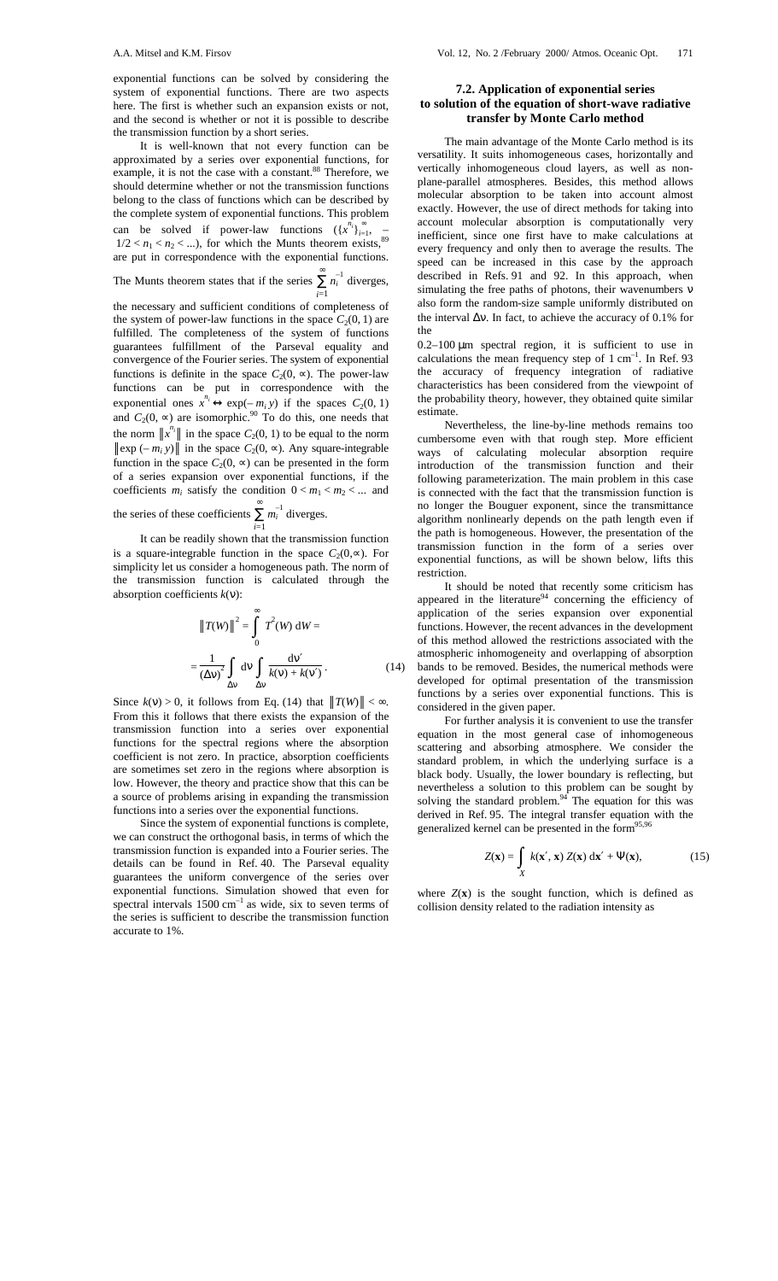exponential functions can be solved by considering the system of exponential functions. There are two aspects here. The first is whether such an expansion exists or not, and the second is whether or not it is possible to describe the transmission function by a short series.

It is well-known that not every function can be approximated by a series over exponential functions, for example, it is not the case with a constant.<sup>88</sup> Therefore, we should determine whether or not the transmission functions belong to the class of functions which can be described by the complete system of exponential functions. This problem can be solved if power-law functions  $({x^n}_i)_{i=1}^{\infty}$ , –  $1/2 < n_1 < n_2 < ...$ ), for which the Munts theorem exists,  $89$ are put in correspondence with the exponential functions.

The Munts theorem states that if the series 
$$
\sum_{i=1}^{\infty} n_i^{-1}
$$
 diverges,

the necessary and sufficient conditions of completeness of the system of power-law functions in the space  $C_2(0, 1)$  are fulfilled. The completeness of the system of functions guarantees fulfillment of the Parseval equality and convergence of the Fourier series. The system of exponential functions is definite in the space  $C_2(0, \infty)$ . The power-law functions can be put in correspondence with the exponential ones  $x^{n_i} \leftrightarrow \exp(-m_i y)$  if the spaces  $C_2(0, 1)$ and  $C_2(0, \infty)$  are isomorphic.<sup>90</sup> To do this, one needs that the norm  $||x^{n_i}||$  in the space  $C_2(0, 1)$  to be equal to the norm  $\|\exp(-m_i y)\|$  in the space  $C_2(0, \infty)$ . Any square-integrable function in the space  $C_2(0, \infty)$  can be presented in the form of a series expansion over exponential functions, if the coefficients  $m_i$  satisfy the condition  $0 < m_1 < m_2 < ...$  and

the series of these coefficients ∑ *i*=1  $\sum_{i=1}^{\infty} m_i^{-1}$  diverges.

It can be readily shown that the transmission function is a square-integrable function in the space  $C_2(0, \infty)$ . For simplicity let us consider a homogeneous path. The norm of the transmission function is calculated through the absorption coefficients *k*(ν):

$$
||T(W)||^{2} = \int_{0}^{\infty} T^{2}(W) dW =
$$

$$
= \frac{1}{(\Delta V)^{2}} \int_{\Delta V} dv \int_{\Delta V} \frac{dv'}{k(v) + k(v')}.
$$
(14)

Since  $k(v) > 0$ , it follows from Eq. (14) that  $||T(W)|| < \infty$ . From this it follows that there exists the expansion of the transmission function into a series over exponential functions for the spectral regions where the absorption coefficient is not zero. In practice, absorption coefficients are sometimes set zero in the regions where absorption is low. However, the theory and practice show that this can be a source of problems arising in expanding the transmission functions into a series over the exponential functions.

Since the system of exponential functions is complete, we can construct the orthogonal basis, in terms of which the transmission function is expanded into a Fourier series. The details can be found in Ref. 40. The Parseval equality guarantees the uniform convergence of the series over exponential functions. Simulation showed that even for spectral intervals  $1500 \text{ cm}^{-1}$  as wide, six to seven terms of the series is sufficient to describe the transmission function accurate to 1%.

#### **7.2. Application of exponential series to solution of the equation of short-wave radiative transfer by Monte Carlo method**

The main advantage of the Monte Carlo method is its versatility. It suits inhomogeneous cases, horizontally and vertically inhomogeneous cloud layers, as well as nonplane-parallel atmospheres. Besides, this method allows molecular absorption to be taken into account almost exactly. However, the use of direct methods for taking into account molecular absorption is computationally very inefficient, since one first have to make calculations at every frequency and only then to average the results. The speed can be increased in this case by the approach described in Refs. 91 and 92. In this approach, when simulating the free paths of photons, their wavenumbers ν also form the random-size sample uniformly distributed on the interval  $\Delta v$ . In fact, to achieve the accuracy of 0.1% for the

 $0.2-100 \mu m$  spectral region, it is sufficient to use in calculations the mean frequency step of  $1 \text{ cm}^{-1}$ . In Ref. 93 the accuracy of frequency integration of radiative characteristics has been considered from the viewpoint of the probability theory, however, they obtained quite similar estimate.

Nevertheless, the line-by-line methods remains too cumbersome even with that rough step. More efficient ways of calculating molecular absorption require introduction of the transmission function and their following parameterization. The main problem in this case is connected with the fact that the transmission function is no longer the Bouguer exponent, since the transmittance algorithm nonlinearly depends on the path length even if the path is homogeneous. However, the presentation of the transmission function in the form of a series over exponential functions, as will be shown below, lifts this restriction.

It should be noted that recently some criticism has appeared in the literature $94$  concerning the efficiency of application of the series expansion over exponential functions. However, the recent advances in the development of this method allowed the restrictions associated with the atmospheric inhomogeneity and overlapping of absorption bands to be removed. Besides, the numerical methods were developed for optimal presentation of the transmission functions by a series over exponential functions. This is considered in the given paper.

For further analysis it is convenient to use the transfer equation in the most general case of inhomogeneous scattering and absorbing atmosphere. We consider the standard problem, in which the underlying surface is a black body. Usually, the lower boundary is reflecting, but nevertheless a solution to this problem can be sought by solving the standard problem. $94$  The equation for this was derived in Ref. 95. The integral transfer equation with the generalized kernel can be presented in the form $95,96$ 

$$
Z(\mathbf{x}) = \int\limits_X k(\mathbf{x}', \mathbf{x}) \, Z(\mathbf{x}) \, \mathrm{d}\mathbf{x}' + \Psi(\mathbf{x}),\tag{15}
$$

where  $Z(x)$  is the sought function, which is defined as collision density related to the radiation intensity as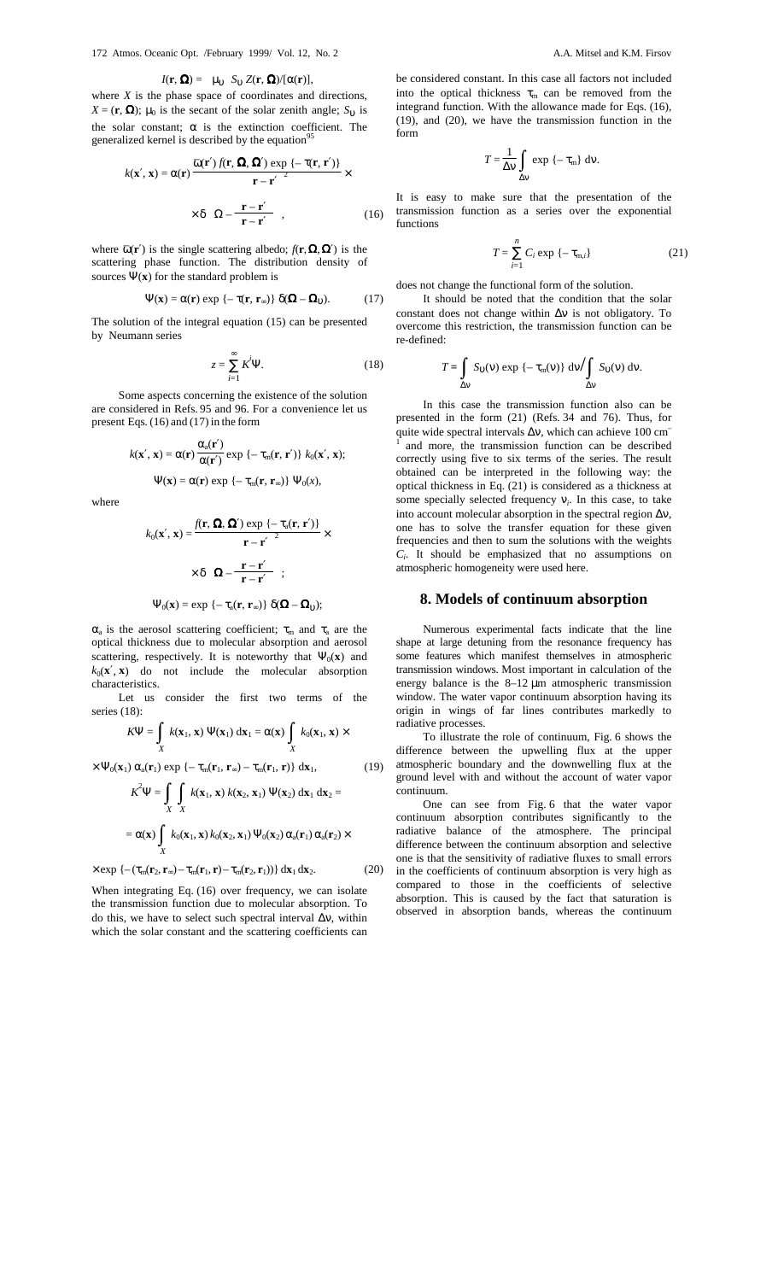172 Atmos. Oceanic Opt. /February 1999/ Vol. 12, No. 2 A.A. Mitsel and K.M. Firsov

## $I(\mathbf{r}, \mathbf{\Omega}) = |\mu_{\mathbf{U}}| S_{\mathbf{U}} Z(\mathbf{r}, \mathbf{\Omega})/[\alpha(\mathbf{r})],$

where  $X$  is the phase space of coordinates and directions,  $X = (\mathbf{r}, \mathbf{\Omega})$ ;  $\mu_0$  is the secant of the solar zenith angle;  $S_{1}$  is the solar constant;  $\alpha$  is the extinction coefficient. The generalized kernel is described by the equation<sup>95</sup>

$$
k(\mathbf{x}', \mathbf{x}) = \alpha(\mathbf{r}) \frac{\omega(\mathbf{r}') f(\mathbf{r}, \mathbf{\Omega}, \mathbf{\Omega}') \exp\{-\tau(\mathbf{r}, \mathbf{r}')\}}{|\mathbf{r} - \mathbf{r}'|^2} \times \times \delta\left(\Omega - \frac{\mathbf{r} - \mathbf{r}'}{|\mathbf{r} - \mathbf{r}'|}\right),
$$
(16)

where  $\overline{\omega}(\mathbf{r}')$  is the single scattering albedo;  $f(\mathbf{r}, \mathbf{\Omega}, \mathbf{\Omega}')$  is the scattering phase function. The distribution density of sources  $\Psi(\mathbf{x})$  for the standard problem is

$$
\Psi(\mathbf{x}) = \alpha(\mathbf{r}) \exp \{-\tau(\mathbf{r}, \mathbf{r}_{\infty})\} \delta(\mathbf{\Omega} - \mathbf{\Omega}_{0}). \tag{17}
$$

The solution of the integral equation (15) can be presented by Neumann series

$$
z = \sum_{i=1}^{\infty} K^i \Psi.
$$
 (18)

Some aspects concerning the existence of the solution are considered in Refs. 95 and 96. For a convenience let us present Eqs. (16) and (17) in the form

$$
k(\mathbf{x}', \mathbf{x}) = \alpha(\mathbf{r}) \frac{\alpha_a(\mathbf{r}')}{\alpha(\mathbf{r}')} \exp \{-\tau_m(\mathbf{r}, \mathbf{r}')\} k_0(\mathbf{x}', \mathbf{x});
$$
  

$$
\Psi(\mathbf{x}) = \alpha(\mathbf{r}) \exp \{-\tau_m(\mathbf{r}, \mathbf{r}_\infty)\} \Psi_0(x),
$$

where

$$
k_0(\mathbf{x}', \mathbf{x}) = \frac{f(\mathbf{r}, \mathbf{\Omega}, \mathbf{\Omega}') \exp \{-\tau_a(\mathbf{r}, \mathbf{r}')\}}{|\mathbf{r} - \mathbf{r}'|^2} \times
$$

$$
\times \delta \left(\mathbf{\Omega} - \frac{\mathbf{r} - \mathbf{r}'}{|\mathbf{r} - \mathbf{r}'|}\right);
$$

$$
\Psi_0(\mathbf{x}) = \exp \{-\tau_a(\mathbf{r}, \mathbf{r}_\infty)\} \delta(\mathbf{\Omega} - \mathbf{\Omega}_0);
$$

 $\alpha_a$  is the aerosol scattering coefficient;  $\tau_m$  and  $\tau_a$  are the optical thickness due to molecular absorption and aerosol scattering, respectively. It is noteworthy that  $\Psi_0(\mathbf{x})$  and  $k_0(\mathbf{x}', \mathbf{x})$  do not include the molecular absorption characteristics.

Let us consider the first two terms of the series (18):

$$
K\Psi = \int\limits_X k(\mathbf{x}_1, \mathbf{x}) \Psi(\mathbf{x}_1) \, \mathrm{d}\mathbf{x}_1 = \alpha(\mathbf{x}) \int\limits_X k_0(\mathbf{x}_1, \mathbf{x}) \times
$$

$$
\times \Psi_0(\mathbf{x}_1) \alpha_a(\mathbf{r}_1) \exp \{-\tau_m(\mathbf{r}_1, \mathbf{r}_\infty) - \tau_m(\mathbf{r}_1, \mathbf{r})\} d\mathbf{x}_1, \tag{19}
$$

$$
K^{2}\Psi = \int_{X} \int_{X} k(\mathbf{x}_{1}, \mathbf{x}) k(\mathbf{x}_{2}, \mathbf{x}_{1}) \Psi(\mathbf{x}_{2}) d\mathbf{x}_{1} d\mathbf{x}_{2} =
$$
  
\n
$$
= \alpha(\mathbf{x}) \int_{X} k_{0}(\mathbf{x}_{1}, \mathbf{x}) k_{0}(\mathbf{x}_{2}, \mathbf{x}_{1}) \Psi_{0}(\mathbf{x}_{2}) \alpha_{a}(\mathbf{r}_{1}) \alpha_{a}(\mathbf{r}_{2}) \times
$$
  
\n
$$
\times \exp \{-(\tau_{m}(\mathbf{r}_{2}, \mathbf{r}_{\infty}) - \tau_{m}(\mathbf{r}_{1}, \mathbf{r}) - \tau_{m}(\mathbf{r}_{2}, \mathbf{r}_{1}))\} d\mathbf{x}_{1} d\mathbf{x}_{2}. \tag{20}
$$

When integrating Eq. (16) over frequency, we can isolate the transmission function due to molecular absorption. To do this, we have to select such spectral interval 
$$
\Delta v
$$
, within which the solar constant and the scattering coefficients can

be considered constant. In this case all factors not included into the optical thickness  $\tau_m$  can be removed from the integrand function. With the allowance made for Eqs. (16), (19), and (20), we have the transmission function in the form

$$
T = \frac{1}{\Delta v} \int_{\Delta v} \exp \{-\tau_m\} dv.
$$

It is easy to make sure that the presentation of the transmission function as a series over the exponential functions

$$
T = \sum_{i=1}^{n} C_i \exp \{-\tau_{m,i}\}
$$
 (21)

does not change the functional form of the solution.

It should be noted that the condition that the solar constant does not change within ∆ν is not obligatory. To overcome this restriction, the transmission function can be re-defined:

$$
T = \int_{\Delta v} S_{\mathcal{V}}(v) \exp \{-\tau_{\mathbf{m}}(v)\} \, \mathrm{d}v / \int_{\Delta v} S_{\mathcal{V}}(v) \, \mathrm{d}v.
$$

In this case the transmission function also can be presented in the form (21) (Refs. 34 and 76). Thus, for quite wide spectral intervals  $\Delta v$ , which can achieve 100 cm<sup>–</sup> 1 and more, the transmission function can be described correctly using five to six terms of the series. The result obtained can be interpreted in the following way: the optical thickness in Eq. (21) is considered as a thickness at some specially selected frequency ν*i*. In this case, to take into account molecular absorption in the spectral region  $\Delta v$ , one has to solve the transfer equation for these given frequencies and then to sum the solutions with the weights *Ci*. It should be emphasized that no assumptions on atmospheric homogeneity were used here.

## **8. Models of continuum absorption**

Numerous experimental facts indicate that the line shape at large detuning from the resonance frequency has some features which manifest themselves in atmospheric transmission windows. Most important in calculation of the energy balance is the  $8-12 \mu m$  atmospheric transmission window. The water vapor continuum absorption having its origin in wings of far lines contributes markedly to radiative processes.

To illustrate the role of continuum, Fig. 6 shows the difference between the upwelling flux at the upper atmospheric boundary and the downwelling flux at the ground level with and without the account of water vapor continuum.

One can see from Fig. 6 that the water vapor continuum absorption contributes significantly to the radiative balance of the atmosphere. The principal difference between the continuum absorption and selective one is that the sensitivity of radiative fluxes to small errors in the coefficients of continuum absorption is very high as compared to those in the coefficients of selective absorption. This is caused by the fact that saturation is observed in absorption bands, whereas the continuum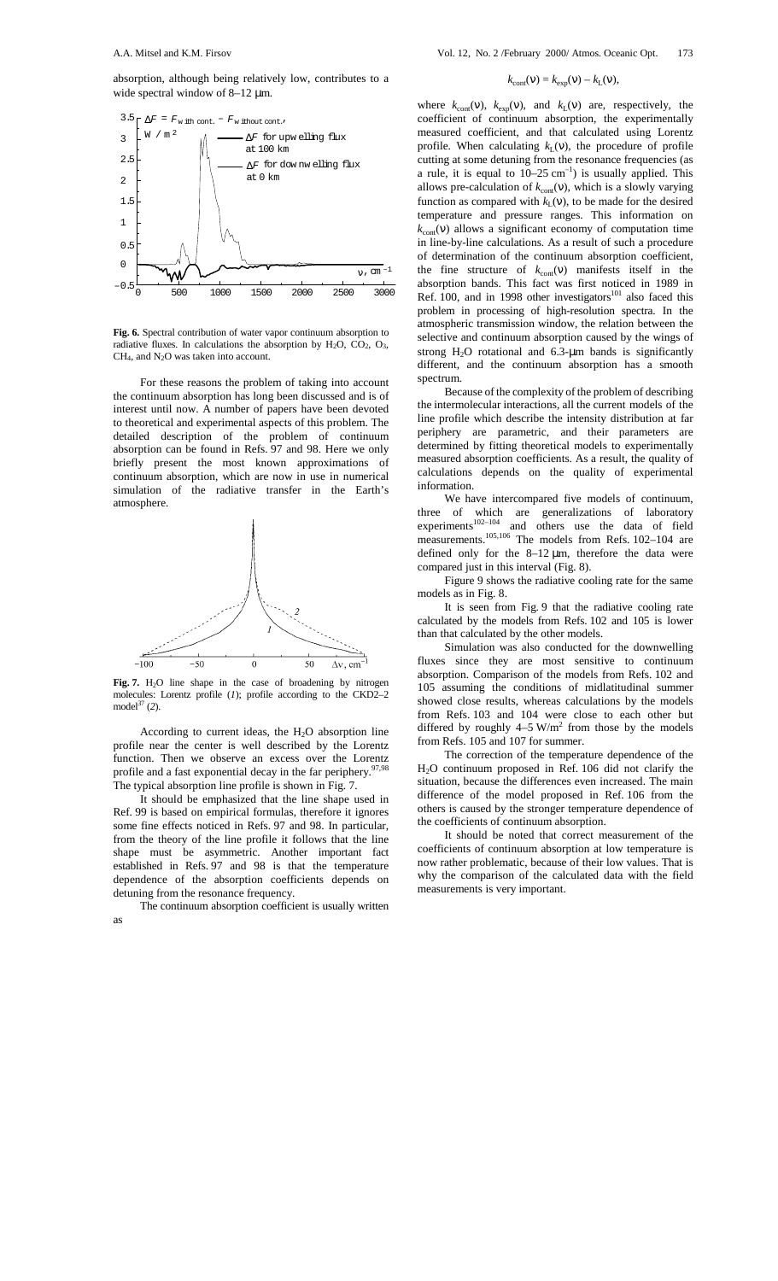absorption, although being relatively low, contributes to a wide spectral window of 8–12  $\mu$ m.



**Fig. 6.** Spectral contribution of water vapor continuum absorption to radiative fluxes. In calculations the absorption by  $H_2O$ ,  $CO_2$ ,  $O_3$ , CH4, and N2O was taken into account.

For these reasons the problem of taking into account the continuum absorption has long been discussed and is of interest until now. A number of papers have been devoted to theoretical and experimental aspects of this problem. The detailed description of the problem of continuum absorption can be found in Refs. 97 and 98. Here we only briefly present the most known approximations of continuum absorption, which are now in use in numerical simulation of the radiative transfer in the Earth's atmosphere.



Fig. 7. H<sub>2</sub>O line shape in the case of broadening by nitrogen molecules: Lorentz profile (*1*); profile according to the CKD2–2 model<sup>37</sup> (2).

According to current ideas, the  $H_2O$  absorption line profile near the center is well described by the Lorentz function. Then we observe an excess over the Lorentz profile and a fast exponential decay in the far periphery.  $97,98$ The typical absorption line profile is shown in Fig. 7.

It should be emphasized that the line shape used in Ref. 99 is based on empirical formulas, therefore it ignores some fine effects noticed in Refs. 97 and 98. In particular, from the theory of the line profile it follows that the line shape must be asymmetric. Another important fact established in Refs. 97 and 98 is that the temperature dependence of the absorption coefficients depends on detuning from the resonance frequency.

The continuum absorption coefficient is usually written

$$
k_{\text{cont}}(\mathsf{v}) = k_{\text{exp}}(\mathsf{v}) - k_{\text{L}}(\mathsf{v}),
$$

where  $k_{\text{cont}}(v)$ ,  $k_{\text{exp}}(v)$ , and  $k_{\text{L}}(v)$  are, respectively, the coefficient of continuum absorption, the experimentally measured coefficient, and that calculated using Lorentz profile. When calculating  $k_L(v)$ , the procedure of profile cutting at some detuning from the resonance frequencies (as a rule, it is equal to  $10-25$  cm<sup>-1</sup>) is usually applied. This allows pre-calculation of  $k_{\text{cont}}(v)$ , which is a slowly varying function as compared with  $k_L(v)$ , to be made for the desired temperature and pressure ranges. This information on  $k_{\text{cont}}(v)$  allows a significant economy of computation time in line-by-line calculations. As a result of such a procedure of determination of the continuum absorption coefficient, the fine structure of  $k_{\text{cont}}(v)$  manifests itself in the absorption bands. This fact was first noticed in 1989 in Ref.  $100$ , and in 1998 other investigators $101$  also faced this problem in processing of high-resolution spectra. In the atmospheric transmission window, the relation between the selective and continuum absorption caused by the wings of strong  $H<sub>2</sub>O$  rotational and 6.3- $\mu$ m bands is significantly different, and the continuum absorption has a smooth spectrum.

Because of the complexity of the problem of describing the intermolecular interactions, all the current models of the line profile which describe the intensity distribution at far periphery are parametric, and their parameters are determined by fitting theoretical models to experimentally measured absorption coefficients. As a result, the quality of calculations depends on the quality of experimental information.

We have intercompared five models of continuum, three of which are generalizations of laboratory experiments<sup>102–104</sup> and others use the data of field measurements.<sup>105,106</sup> The models from Refs. 102-104 are defined only for the  $8-12 \mu m$ , therefore the data were compared just in this interval (Fig. 8).

Figure 9 shows the radiative cooling rate for the same models as in Fig. 8.

It is seen from Fig. 9 that the radiative cooling rate calculated by the models from Refs. 102 and 105 is lower than that calculated by the other models.

Simulation was also conducted for the downwelling fluxes since they are most sensitive to continuum absorption. Comparison of the models from Refs. 102 and 105 assuming the conditions of midlatitudinal summer showed close results, whereas calculations by the models from Refs. 103 and 104 were close to each other but differed by roughly  $4-5$  W/m<sup>2</sup> from those by the models from Refs. 105 and 107 for summer.

The correction of the temperature dependence of the H2O continuum proposed in Ref. 106 did not clarify the situation, because the differences even increased. The main difference of the model proposed in Ref. 106 from the others is caused by the stronger temperature dependence of the coefficients of continuum absorption.

It should be noted that correct measurement of the coefficients of continuum absorption at low temperature is now rather problematic, because of their low values. That is why the comparison of the calculated data with the field measurements is very important.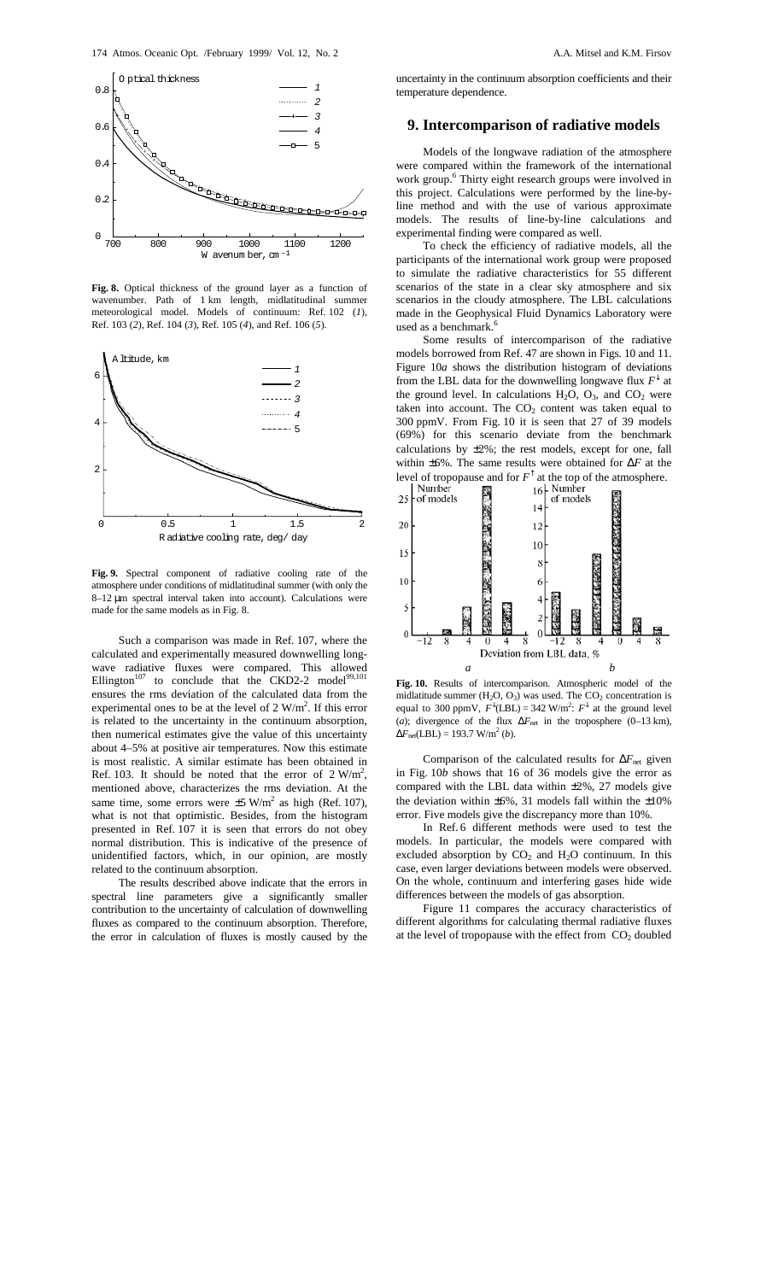

**Fig. 8.** Optical thickness of the ground layer as a function of wavenumber. Path of 1 km length, midlatitudinal summer meteorological model. Models of continuum: Ref. 102 (*1*), Ref. 103 (*2*), Ref. 104 (*3*), Ref. 105 (*4*), and Ref. 106 (*5*).



**Fig. 9.** Spectral component of radiative cooling rate of the atmosphere under conditions of midlatitudinal summer (with only the 8–12 µm spectral interval taken into account). Calculations were made for the same models as in Fig. 8.

Such a comparison was made in Ref. 107, where the calculated and experimentally measured downwelling longwave radiative fluxes were compared. This allowed Ellington<sup>107</sup> to conclude that the CKD2-2 model<sup>99,101</sup> ensures the rms deviation of the calculated data from the experimental ones to be at the level of  $2 \text{ W/m}^2$ . If this error is related to the uncertainty in the continuum absorption, then numerical estimates give the value of this uncertainty about 4–5% at positive air temperatures. Now this estimate is most realistic. A similar estimate has been obtained in Ref. 103. It should be noted that the error of  $2 \text{ W/m}^2$ , mentioned above, characterizes the rms deviation. At the same time, some errors were  $\pm 5$  W/m<sup>2</sup> as high (Ref. 107), what is not that optimistic. Besides, from the histogram presented in Ref. 107 it is seen that errors do not obey normal distribution. This is indicative of the presence of unidentified factors, which, in our opinion, are mostly related to the continuum absorption.

The results described above indicate that the errors in spectral line parameters give a significantly smaller contribution to the uncertainty of calculation of downwelling fluxes as compared to the continuum absorption. Therefore, the error in calculation of fluxes is mostly caused by the uncertainty in the continuum absorption coefficients and their temperature dependence.

#### **9. Intercomparison of radiative models**

Models of the longwave radiation of the atmosphere were compared within the framework of the international work group.<sup>6</sup> Thirty eight research groups were involved in this project. Calculations were performed by the line-byline method and with the use of various approximate models. The results of line-by-line calculations and experimental finding were compared as well.

To check the efficiency of radiative models, all the participants of the international work group were proposed to simulate the radiative characteristics for 55 different scenarios of the state in a clear sky atmosphere and six scenarios in the cloudy atmosphere. The LBL calculations made in the Geophysical Fluid Dynamics Laboratory were used as a benchmark.<sup>6</sup>

Some results of intercomparison of the radiative models borrowed from Ref. 47 are shown in Figs. 10 and 11. Figure 10*a* shows the distribution histogram of deviations from the LBL data for the downwelling longwave flux  $F^{\downarrow}$  at the ground level. In calculations  $H_2O$ ,  $O_3$ , and  $CO_2$  were taken into account. The  $CO<sub>2</sub>$  content was taken equal to 300 ppmV. From Fig. 10 it is seen that 27 of 39 models (69%) for this scenario deviate from the benchmark calculations by  $\pm 2\%$ ; the rest models, except for one, fall within ±6%. The same results were obtained for ∆*F* at the level of tropopause and for  $F^{\dagger}$  at the top of the atmosphere.



**Fig. 10.** Results of intercomparison. Atmospheric model of the midlatitude summer  $(H_2O, O_3)$  was used. The  $CO_2$  concentration is equal to 300 ppmV,  $F^{\downarrow}(\text{LBL}) = 342 \text{ W/m}^2$ :  $F^{\downarrow}$  at the ground level (*a*); divergence of the flux  $\Delta F_{\text{net}}$  in the troposphere (0–13 km),  $\Delta F_{\text{net}}(\text{LBL}) = 193.7 \text{ W/m}^2$  (*b*).

Comparison of the calculated results for ∆*F*<sub>net</sub> given in Fig. 10*b* shows that 16 of 36 models give the error as compared with the LBL data within  $\pm 2\%$ , 27 models give the deviation within  $\pm 6\%$ , 31 models fall within the  $\pm 10\%$ error. Five models give the discrepancy more than 10%.

In Ref. 6 different methods were used to test the models. In particular, the models were compared with excluded absorption by  $CO<sub>2</sub>$  and  $H<sub>2</sub>O$  continuum. In this case, even larger deviations between models were observed. On the whole, continuum and interfering gases hide wide differences between the models of gas absorption.

Figure 11 compares the accuracy characteristics of different algorithms for calculating thermal radiative fluxes at the level of tropopause with the effect from  $CO<sub>2</sub>$  doubled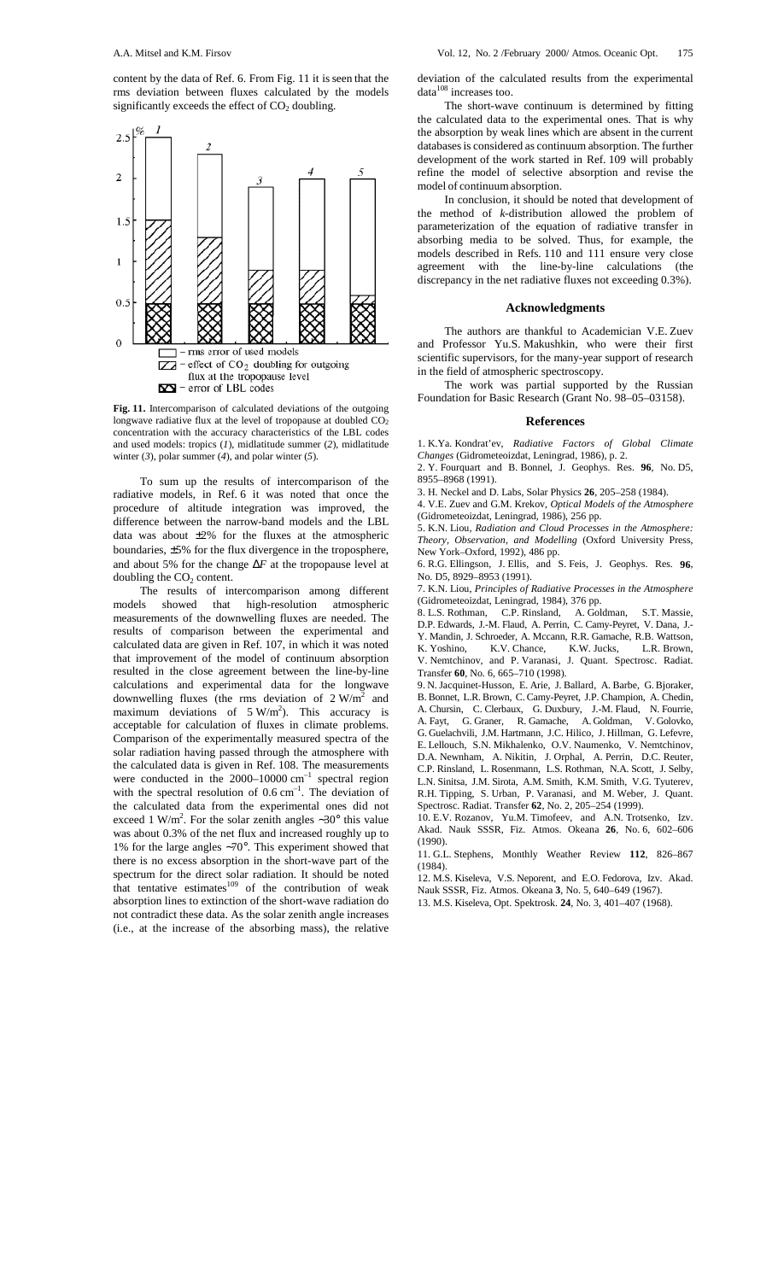content by the data of Ref. 6. From Fig. 11 it is seen that the rms deviation between fluxes calculated by the models significantly exceeds the effect of  $CO<sub>2</sub>$  doubling.



**Fig. 11.** Intercomparison of calculated deviations of the outgoing longwave radiative flux at the level of tropopause at doubled  $CO<sub>2</sub>$ concentration with the accuracy characteristics of the LBL codes and used models: tropics (*1*), midlatitude summer (*2*), midlatitude winter (*3*), polar summer (*4*), and polar winter (*5*).

To sum up the results of intercomparison of the radiative models, in Ref. 6 it was noted that once the procedure of altitude integration was improved, the difference between the narrow-band models and the LBL data was about  $\pm 2\%$  for the fluxes at the atmospheric boundaries, ±5% for the flux divergence in the troposphere, and about 5% for the change ∆*F* at the tropopause level at doubling the  $CO<sub>2</sub>$  content.

The results of intercomparison among different models showed that high-resolution atmospheric measurements of the downwelling fluxes are needed. The results of comparison between the experimental and calculated data are given in Ref. 107, in which it was noted that improvement of the model of continuum absorption resulted in the close agreement between the line-by-line calculations and experimental data for the longwave downwelling fluxes (the rms deviation of  $2 \text{ W/m}^2$  and maximum deviations of  $5 \text{ W/m}^2$ ). This accuracy is acceptable for calculation of fluxes in climate problems. Comparison of the experimentally measured spectra of the solar radiation having passed through the atmosphere with the calculated data is given in Ref. 108. The measurements were conducted in the  $2000-10000$  cm<sup>-1</sup> spectral region with the spectral resolution of  $0.6 \text{ cm}^{-1}$ . The deviation of the calculated data from the experimental ones did not exceed 1 W/m<sup>2</sup>. For the solar zenith angles ~30° this value was about 0.3% of the net flux and increased roughly up to 1% for the large angles ∼70°. This experiment showed that there is no excess absorption in the short-wave part of the spectrum for the direct solar radiation. It should be noted that tentative estimates $109$  of the contribution of weak absorption lines to extinction of the short-wave radiation do not contradict these data. As the solar zenith angle increases (i.e., at the increase of the absorbing mass), the relative

deviation of the calculated results from the experimental  $data^{108}$  increases too.

The short-wave continuum is determined by fitting the calculated data to the experimental ones. That is why the absorption by weak lines which are absent in the current databases is considered as continuum absorption. The further development of the work started in Ref. 109 will probably refine the model of selective absorption and revise the model of continuumabsorption.

In conclusion, it should be noted that development of the method of *k*-distribution allowed the problem of parameterization of the equation of radiative transfer in absorbing media to be solved. Thus, for example, the models described in Refs. 110 and 111 ensure very close agreement with the line-by-line calculations (the discrepancy in the net radiative fluxes not exceeding 0.3%).

#### **Acknowledgments**

The authors are thankful to Academician V.E. Zuev and Professor Yu.S. Makushkin, who were their first scientific supervisors, for the many-year support of research in the field of atmospheric spectroscopy.

The work was partial supported by the Russian Foundation for Basic Research (Grant No. 98–05–03158).

#### **References**

1. K.Ya. Kondrat'ev, *Radiative Factors of Global Climate Changes* (Gidrometeoizdat, Leningrad, 1986), p. 2.

2. Y. Fourquart and B. Bonnel, J. Geophys. Res. **96**, No. D5, 8955–8968 (1991).

3. H. Neckel and D. Labs, Solar Physics **26**, 205–258 (1984).

4. V.E. Zuev and G.M. Krekov, *Optical Models of the Atmosphere* (Gidrometeoizdat, Leningrad, 1986), 256 pp.

5. K.N. Liou, *Radiation and Cloud Processes in the Atmosphere: Theory, Observation, and Modelling* (Oxford University Press, New York–Oxford, 1992), 486 pp.

6. R.G. Ellingson, J. Ellis, and S. Feis, J. Geophys. Res. **96**, No. D5, 8929-8953 (1991).

7. K.N. Liou, *Principles of Radiative Processes in the Atmosphere* (Gidrometeoizdat, Leningrad, 1984), 376 pp.

8. L.S. Rothman, C.P. Rinsland, A. Goldman, S.T. Massie, D.P. Edwards, J.-M. Flaud, A. Perrin, C. Camy-Peyret, V. Dana, J.- Y. Mandin, J. Schroeder, A. Mccann, R.R. Gamache, R.B. Wattson, K. Yoshino, K.V. Chance, K.W. Jucks, L.R. Brown, V. Nemtchinov, and P. Varanasi, J. Quant. Spectrosc. Radiat. Transfer **60**, No. 6, 665–710 (1998).

9. N. Jacquinet-Husson, E. Arie, J. Ballard, A. Barbe, G. Bjoraker, B. Bonnet, L.R. Brown, C. Camy-Peyret, J.P. Champion, A. Chedin, A. Chursin, C. Clerbaux, G. Duxbury, J.-M. Flaud, N. Fourrie, A. Fayt, G. Graner, R. Gamache, A. Goldman, V. Golovko, G. Guelachvili, J.M. Hartmann, J.C. Hilico, J. Hillman, G. Lefevre, E. Lellouch, S.N. Mikhalenko, O.V. Naumenko, V. Nemtchinov, D.A. Newnham, A. Nikitin, J. Orphal, A. Perrin, D.C. Reuter, C.P. Rinsland, L. Rosenmann, L.S. Rothman, N.A. Scott, J. Selby, L.N. Sinitsa, J.M. Sirota, A.M. Smith, K.M. Smith, V.G. Tyuterev, R.H. Tipping, S. Urban, P. Varanasi, and M. Weber, J. Quant. Spectrosc. Radiat. Transfer **62**, No. 2, 205–254 (1999).

10. E.V. Rozanov, Yu.M. Timofeev, and A.N. Trotsenko, Izv. Akad. Nauk SSSR, Fiz. Atmos. Okeana **26**, No. 6, 602–606 (1990).

11. G.L. Stephens, Monthly Weather Review **112**, 826–867 (1984).

12. M.S. Kiseleva, V.S. Neporent, and E.O. Fedorova, Izv. Akad. Nauk SSSR, Fiz. Atmos. Okeana **3**, No. 5, 640–649 (1967).

13. M.S. Kiseleva, Opt. Spektrosk. **24**, No. 3, 401–407 (1968).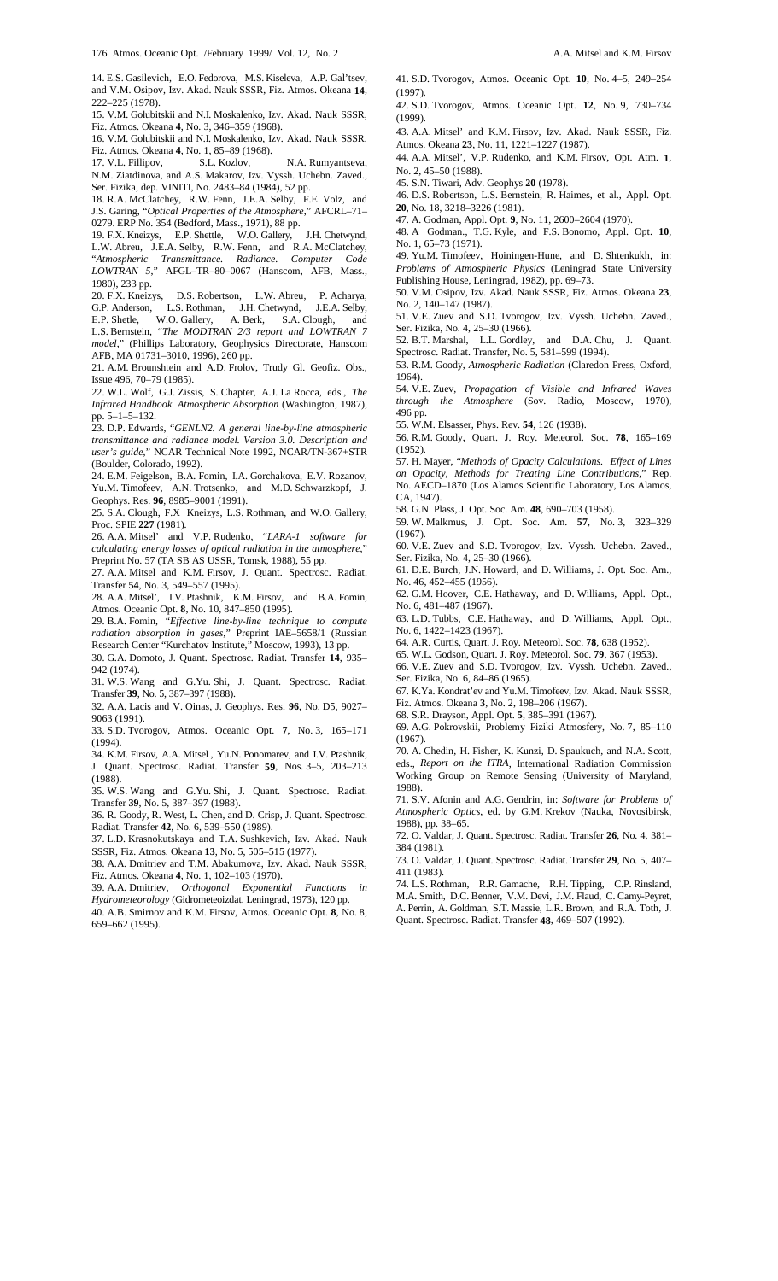14. E.S. Gasilevich, E.O. Fedorova, M.S. Kiseleva, A.P. Gal'tsev, and V.M. Osipov, Izv. Akad. Nauk SSSR, Fiz. Atmos. Okeana **14**, 222–225 (1978).

15. V.M. Golubitskii and N.I. Moskalenko, Izv. Akad. Nauk SSSR, Fiz. Atmos. Okeana **4**, No. 3, 346–359 (1968).

16. V.M. Golubitskii and N.I. Moskalenko, Izv. Akad. Nauk SSSR, Fiz. Atmos. Okeana **4**, No. 1, 85–89 (1968).

17. V.L. Fillipov, S.L. Kozlov, N.A. Rumyantseva, N.M. Ziatdinova, and A.S. Makarov, Izv. Vyssh. Uchebn. Zaved., Ser. Fizika, dep. VINITI, No. 2483–84 (1984), 52 pp.

18. R.A. McClatchey, R.W. Fenn, J.E.A. Selby, F.E. Volz, and J.S. Garing, "*Optical Properties of the Atmosphere*," AFCRL–71–

0279. ERP No. 354 (Bedford, Mass., 1971), 88 pp. 19. F.X. Kneizys, E.P. Shettle, W.O. Gallery, J.H. Chetwynd,

L.W. Abreu, J.E.A. Selby, R.W. Fenn, and R.A. McClatchey, "*Atmospheric Transmittance. Radiance. Computer Code LOWTRAN 5*," AFGL–TR–80–0067 (Hanscom, AFB, Mass., 1980), 233 pp.

20. F.X. Kneizys, D.S. Robertson, L.W. Abreu, P. Acharya, G.P. Anderson, L.S. Rothman, J.H. Chetwynd, J.E.A. Selby, E.P. Shetle, W.O. Gallery, A. Berk, S.A. Clough, and L.S. Bernstein, "*The MODTRAN 2/3 report and LOWTRAN 7 model*," (Phillips Laboratory, Geophysics Directorate, Hanscom AFB, MA 01731–3010, 1996), 260 pp.

21. A.M. Brounshtein and A.D. Frolov, Trudy Gl. Geofiz. Obs., Issue 496, 70–79 (1985).

22. W.L. Wolf, G.J. Zissis, S. Chapter, A.J. La Rocca, eds., *The Infrared Handbook. Atmospheric Absorption* (Washington, 1987), pp. 5–1–5–132.

23. D.P. Edwards, "*GENLN2. A general line-by-line atmospheric transmittance and radiance model. Version 3.0. Description and user's guide*," NCAR Technical Note 1992, NCAR/TN-367+STR (Boulder, Colorado, 1992).

24. E.M. Feigelson, B.A. Fomin, I.A. Gorchakova, E.V. Rozanov, Yu.M. Timofeev, A.N. Trotsenko, and M.D. Schwarzkopf, J. Geophys. Res. **96**, 8985–9001 (1991).

25. S.A. Clough, F.X Kneizys, L.S. Rothman, and W.O. Gallery, Proc. SPIE **227** (1981).

26. A.A. Mitsel' and V.P. Rudenko, "*LARA-1 software for calculating energy losses of optical radiation in the atmosphere*," Preprint No. 57 (TA SB AS USSR, Tomsk, 1988), 55 pp.

27. A.A. Mitsel and K.M. Firsov, J. Quant. Spectrosc. Radiat. Transfer **54**, No. 3, 549–557 (1995).

28. A.A. Mitsel', I.V. Ptashnik, K.M. Firsov, and B.A. Fomin, Atmos. Oceanic Opt. **8**, No. 10, 847–850 (1995).

29. B.A. Fomin, "*Effective line-by-line technique to compute radiation absorption in gases*," Preprint IAE–5658/1 (Russian Research Center "Kurchatov Institute," Moscow, 1993), 13 pp.

30. G.A. Domoto, J. Quant. Spectrosc. Radiat. Transfer **14**, 935– 942 (1974).

31. W.S. Wang and G.Yu. Shi, J. Quant. Spectrosc. Radiat. Transfer **39**, No. 5, 387–397 (1988).

32. A.A. Lacis and V. Oinas, J. Geophys. Res. **96**, No. D5, 9027– 9063 (1991).

33. S.D. Tvorogov, Atmos. Oceanic Opt. **7**, No. 3, 165–171 (1994).

34. K.M. Firsov, A.A. Mitsel , Yu.N. Ponomarev, and I.V. Ptashnik, J. Quant. Spectrosc. Radiat. Transfer **59**, Nos. 3–5, 203–213 (1988).

35. W.S. Wang and G.Yu. Shi, J. Quant. Spectrosc. Radiat. Transfer **39**, No. 5, 387–397 (1988).

36. R. Goody, R. West, L. Chen, and D. Crisp, J. Quant. Spectrosc. Radiat. Transfer **42**, No. 6, 539–550 (1989).

37. L.D. Krasnokutskaya and T.A. Sushkevich, Izv. Akad. Nauk SSSR, Fiz. Atmos. Okeana **13**, No. 5, 505–515 (1977).

38. A.A. Dmitriev and T.M. Abakumova, Izv. Akad. Nauk SSSR, Fiz. Atmos. Okeana **4**, No. 1, 102–103 (1970).

39. A.A. Dmitriev, *Orthogonal Exponential Functions in Hydrometeorology* (Gidrometeoizdat, Leningrad, 1973), 120 pp.

40. A.B. Smirnov and K.M. Firsov, Atmos. Oceanic Opt. **8**, No. 8, 659–662 (1995).

41. S.D. Tvorogov, Atmos. Oceanic Opt. **10**, No. 4–5, 249–254 (1997).

42. S.D. Tvorogov, Atmos. Oceanic Opt. **12**, No. 9, 730–734 (1999).

43. A.A. Mitsel' and K.M. Firsov, Izv. Akad. Nauk SSSR, Fiz. Atmos. Okeana **23**, No. 11, 1221–1227 (1987).

44. A.A. Mitsel', V.P. Rudenko, and K.M. Firsov, Opt. Atm. **1**, No. 2, 45–50 (1988).

45. S.N. Tiwari, Adv. Geophys **20** (1978).

46. D.S. Robertson, L.S. Bernstein, R. Haimes, et al., Appl. Opt. **20**, No. 18, 3218–3226 (1981).

47. A. Godman, Appl. Opt. **9**, No. 11, 2600–2604 (1970).

48. A Godman., T.G. Kyle, and F.S. Bonomo, Appl. Opt. **10**, No. 1, 65–73 (1971).

49. Yu.M. Timofeev, Hoiningen-Hune, and D. Shtenkukh, in: *Problems of Atmospheric Physics* (Leningrad State University Publishing House, Leningrad, 1982), pp. 69–73.

50. V.M. Osipov, Izv. Akad. Nauk SSSR, Fiz. Atmos. Okeana **23**, No. 2, 140–147 (1987).

51. V.E. Zuev and S.D. Tvorogov, Izv. Vyssh. Uchebn. Zaved., Ser. Fizika, No. 4, 25–30 (1966).

52. B.T. Marshal, L.L. Gordley, and D.A. Chu, J. Quant. Spectrosc. Radiat. Transfer, No. 5, 581–599 (1994).

53. R.M. Goody, *Atmospheric Radiation* (Claredon Press, Oxford, 1964).

54. V.E. Zuev, *Propagation of Visible and Infrared Waves through the Atmosphere* (Sov. Radio, Moscow, 1970), 496 pp.

55. W.M. Elsasser, Phys. Rev. **54**, 126 (1938).

56. R.M. Goody, Quart. J. Roy. Meteorol. Soc. **78**, 165–169 (1952).

57. H. Mayer, "*Methods of Opacity Calculations. Effect of Lines on Opacity, Methods for Treating Line Contributions*," Rep. No. AECD–1870 (Los Alamos Scientific Laboratory, Los Alamos, CA, 1947).

58. G.N. Plass, J. Opt. Soc. Am. **48**, 690–703 (1958).

59. W. Malkmus, J. Opt. Soc. Am. **57**, No. 3, 323–329 (1967).

60. V.E. Zuev and S.D. Tvorogov, Izv. Vyssh. Uchebn. Zaved., Ser. Fizika, No. 4, 25–30 (1966).

61. D.E. Burch, J.N. Howard, and D. Williams, J. Opt. Soc. Am., No. 46, 452–455 (1956).

62. G.M. Hoover, C.E. Hathaway, and D. Williams, Appl. Opt., No. 6, 481–487 (1967).

63. L.D. Tubbs, C.E. Hathaway, and D. Williams, Appl. Opt., No. 6, 1422–1423 (1967).

64. A.R. Curtis, Quart. J. Roy. Meteorol. Soc. **78**, 638 (1952).

65. W.L. Godson, Quart. J. Roy. Meteorol. Soc. **79**, 367 (1953).

66. V.E. Zuev and S.D. Tvorogov, Izv. Vyssh. Uchebn. Zaved., Ser. Fizika, No. 6, 84–86 (1965).

67. K.Ya. Kondrat'ev and Yu.M. Timofeev, Izv. Akad. Nauk SSSR, Fiz. Atmos. Okeana **3**, No. 2, 198–206 (1967).

68. S.R. Drayson, Appl. Opt. **5**, 385–391 (1967).

69. A.G. Pokrovskii, Problemy Fiziki Atmosfery, No. 7, 85–110 (1967).

70. A. Chedin, H. Fisher, K. Kunzi, D. Spaukuch, and N.A. Scott, eds., *Report on the ITRA*, International Radiation Commission Working Group on Remote Sensing (University of Maryland, 1988).

71. S.V. Afonin and A.G. Gendrin, in: *Software for Problems of Atmospheric Optics*, ed. by G.M. Krekov (Nauka, Novosibirsk, 1988), pp. 38–65.

72. O. Valdar, J. Quant. Spectrosc. Radiat. Transfer **26**, No. 4, 381– 384 (1981).

73. O. Valdar, J. Quant. Spectrosc. Radiat. Transfer **29**, No. 5, 407– 411 (1983).

74. L.S. Rothman, R.R. Gamache, R.H. Tipping, C.P. Rinsland,

M.A. Smith, D.C. Benner, V.M. Devi, J.M. Flaud, C. Camy-Peyret, A. Perrin, A. Goldman, S.T. Massie, L.R. Brown, and R.A. Toth, J.

Quant. Spectrosc. Radiat. Transfer **48**, 469–507 (1992).